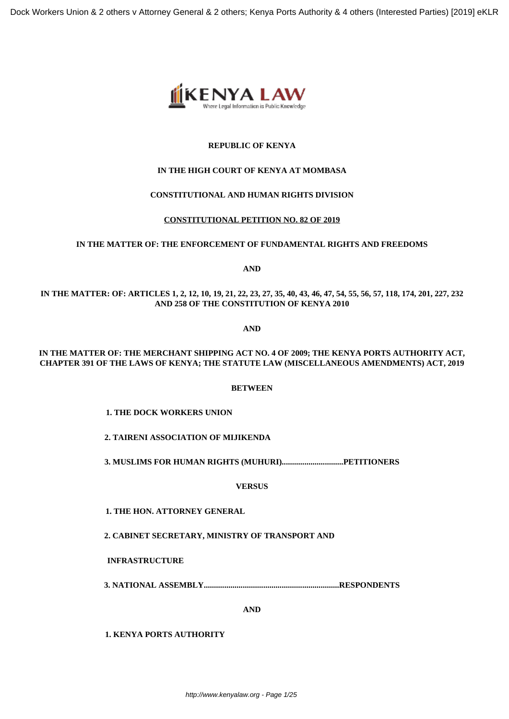

# **REPUBLIC OF KENYA**

# **IN THE HIGH COURT OF KENYA AT MOMBASA**

# **CONSTITUTIONAL AND HUMAN RIGHTS DIVISION**

# **CONSTITUTIONAL PETITION NO. 82 OF 2019**

# **IN THE MATTER OF: THE ENFORCEMENT OF FUNDAMENTAL RIGHTS AND FREEDOMS**

**AND**

**IN THE MATTER: OF: ARTICLES 1, 2, 12, 10, 19, 21, 22, 23, 27, 35, 40, 43, 46, 47, 54, 55, 56, 57, 118, 174, 201, 227, 232 AND 258 OF THE CONSTITUTION OF KENYA 2010**

**AND**

# **IN THE MATTER OF: THE MERCHANT SHIPPING ACT NO. 4 OF 2009; THE KENYA PORTS AUTHORITY ACT, CHAPTER 391 OF THE LAWS OF KENYA; THE STATUTE LAW (MISCELLANEOUS AMENDMENTS) ACT, 2019**

# **BETWEEN**

**1. THE DOCK WORKERS UNION**

**2. TAIRENI ASSOCIATION OF MIJIKENDA**

**3. MUSLIMS FOR HUMAN RIGHTS (MUHURI)..............................PETITIONERS**

**VERSUS**

**1. THE HON. ATTORNEY GENERAL**

**2. CABINET SECRETARY, MINISTRY OF TRANSPORT AND**

**INFRASTRUCTURE**

**3. NATIONAL ASSEMBLY..................................................................RESPONDENTS**

**AND**

**1. KENYA PORTS AUTHORITY**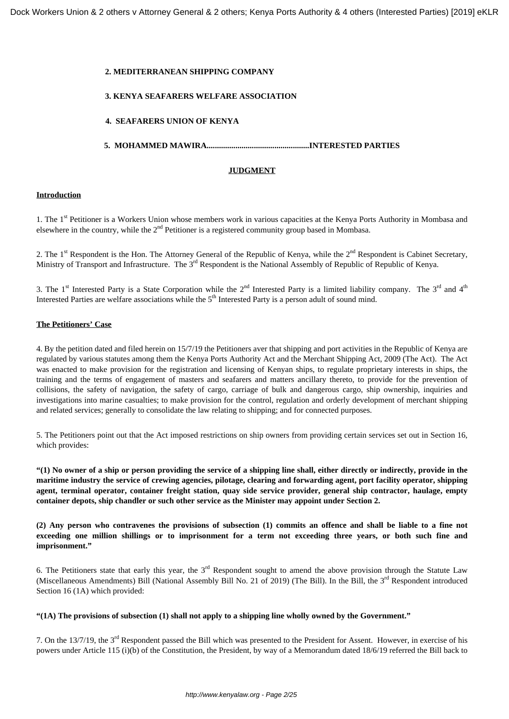### **2. MEDITERRANEAN SHIPPING COMPANY**

### **3. KENYA SEAFARERS WELFARE ASSOCIATION**

### **4. SEAFARERS UNION OF KENYA**

### **5. MOHAMMED MAWIRA..................................................INTERESTED PARTIES**

### **JUDGMENT**

### **Introduction**

1. The 1<sup>st</sup> Petitioner is a Workers Union whose members work in various capacities at the Kenya Ports Authority in Mombasa and elsewhere in the country, while the  $2<sup>nd</sup>$  Petitioner is a registered community group based in Mombasa.

2. The 1<sup>st</sup> Respondent is the Hon. The Attorney General of the Republic of Kenya, while the 2<sup>nd</sup> Respondent is Cabinet Secretary, Ministry of Transport and Infrastructure. The 3<sup>rd</sup> Respondent is the National Assembly of Republic of Republic of Kenya.

3. The 1<sup>st</sup> Interested Party is a State Corporation while the  $2<sup>nd</sup>$  Interested Party is a limited liability company. The  $3<sup>rd</sup>$  and  $4<sup>th</sup>$ Interested Parties are welfare associations while the 5<sup>th</sup> Interested Party is a person adult of sound mind.

#### **The Petitioners' Case**

4. By the petition dated and filed herein on 15/7/19 the Petitioners aver that shipping and port activities in the Republic of Kenya are regulated by various statutes among them the Kenya Ports Authority Act and the Merchant Shipping Act, 2009 (The Act). The Act was enacted to make provision for the registration and licensing of Kenyan ships, to regulate proprietary interests in ships, the training and the terms of engagement of masters and seafarers and matters ancillary thereto, to provide for the prevention of collisions, the safety of navigation, the safety of cargo, carriage of bulk and dangerous cargo, ship ownership, inquiries and investigations into marine casualties; to make provision for the control, regulation and orderly development of merchant shipping and related services; generally to consolidate the law relating to shipping; and for connected purposes.

5. The Petitioners point out that the Act imposed restrictions on ship owners from providing certain services set out in Section 16, which provides:

**"(1) No owner of a ship or person providing the service of a shipping line shall, either directly or indirectly, provide in the maritime industry the service of crewing agencies, pilotage, clearing and forwarding agent, port facility operator, shipping agent, terminal operator, container freight station, quay side service provider, general ship contractor, haulage, empty container depots, ship chandler or such other service as the Minister may appoint under Section 2.**

**(2) Any person who contravenes the provisions of subsection (1) commits an offence and shall be liable to a fine not exceeding one million shillings or to imprisonment for a term not exceeding three years, or both such fine and imprisonment."**

6. The Petitioners state that early this year, the  $3<sup>rd</sup>$  Respondent sought to amend the above provision through the Statute Law (Miscellaneous Amendments) Bill (National Assembly Bill No. 21 of 2019) (The Bill). In the Bill, the 3rd Respondent introduced Section 16 (1A) which provided:

### **"(1A) The provisions of subsection (1) shall not apply to a shipping line wholly owned by the Government."**

7. On the 13/7/19, the 3rd Respondent passed the Bill which was presented to the President for Assent. However, in exercise of his powers under Article 115 (i)(b) of the Constitution, the President, by way of a Memorandum dated 18/6/19 referred the Bill back to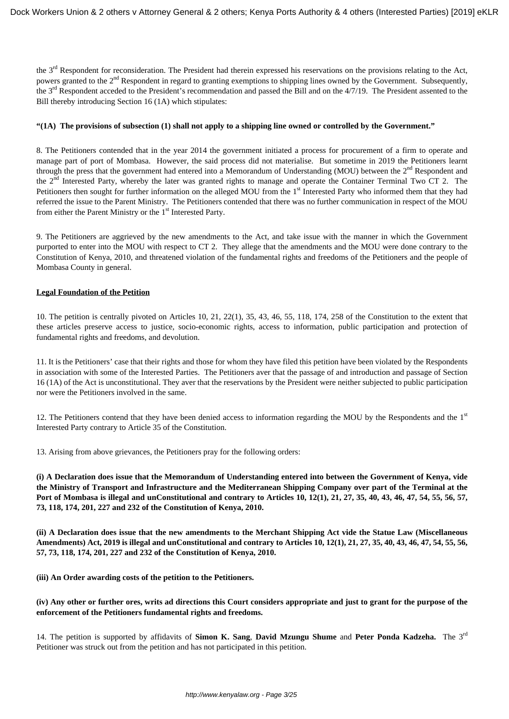the 3<sup>rd</sup> Respondent for reconsideration. The President had therein expressed his reservations on the provisions relating to the Act, powers granted to the 2<sup>nd</sup> Respondent in regard to granting exemptions to shipping lines owned by the Government. Subsequently, the  $3<sup>rd</sup>$  Respondent acceded to the President's recommendation and passed the Bill and on the  $4/7/19$ . The President assented to the Bill thereby introducing Section 16 (1A) which stipulates:

### **"(1A) The provisions of subsection (1) shall not apply to a shipping line owned or controlled by the Government."**

8. The Petitioners contended that in the year 2014 the government initiated a process for procurement of a firm to operate and manage part of port of Mombasa. However, the said process did not materialise. But sometime in 2019 the Petitioners learnt through the press that the government had entered into a Memorandum of Understanding (MOU) between the 2<sup>nd</sup> Respondent and the 2nd Interested Party, whereby the later was granted rights to manage and operate the Container Terminal Two CT 2. The Petitioners then sought for further information on the alleged MOU from the 1<sup>st</sup> Interested Party who informed them that they had referred the issue to the Parent Ministry. The Petitioners contended that there was no further communication in respect of the MOU from either the Parent Ministry or the 1<sup>st</sup> Interested Party.

9. The Petitioners are aggrieved by the new amendments to the Act, and take issue with the manner in which the Government purported to enter into the MOU with respect to CT 2. They allege that the amendments and the MOU were done contrary to the Constitution of Kenya, 2010, and threatened violation of the fundamental rights and freedoms of the Petitioners and the people of Mombasa County in general.

#### **Legal Foundation of the Petition**

10. The petition is centrally pivoted on Articles 10, 21, 22(1), 35, 43, 46, 55, 118, 174, 258 of the Constitution to the extent that these articles preserve access to justice, socio-economic rights, access to information, public participation and protection of fundamental rights and freedoms, and devolution.

11. It is the Petitioners' case that their rights and those for whom they have filed this petition have been violated by the Respondents in association with some of the Interested Parties. The Petitioners aver that the passage of and introduction and passage of Section 16 (1A) of the Act is unconstitutional. They aver that the reservations by the President were neither subjected to public participation nor were the Petitioners involved in the same.

12. The Petitioners contend that they have been denied access to information regarding the MOU by the Respondents and the  $1<sup>st</sup>$ Interested Party contrary to Article 35 of the Constitution.

13. Arising from above grievances, the Petitioners pray for the following orders:

**(i) A Declaration does issue that the Memorandum of Understanding entered into between the Government of Kenya, vide the Ministry of Transport and Infrastructure and the Mediterranean Shipping Company over part of the Terminal at the Port of Mombasa is illegal and unConstitutional and contrary to Articles 10, 12(1), 21, 27, 35, 40, 43, 46, 47, 54, 55, 56, 57, 73, 118, 174, 201, 227 and 232 of the Constitution of Kenya, 2010.**

**(ii) A Declaration does issue that the new amendments to the Merchant Shipping Act vide the Statue Law (Miscellaneous Amendments) Act, 2019 is illegal and unConstitutional and contrary to Articles 10, 12(1), 21, 27, 35, 40, 43, 46, 47, 54, 55, 56, 57, 73, 118, 174, 201, 227 and 232 of the Constitution of Kenya, 2010.**

**(iii) An Order awarding costs of the petition to the Petitioners.**

### **(iv) Any other or further ores, writs ad directions this Court considers appropriate and just to grant for the purpose of the enforcement of the Petitioners fundamental rights and freedoms.**

14. The petition is supported by affidavits of **Simon K. Sang**, **David Mzungu Shume** and **Peter Ponda Kadzeha.** The 3rd Petitioner was struck out from the petition and has not participated in this petition.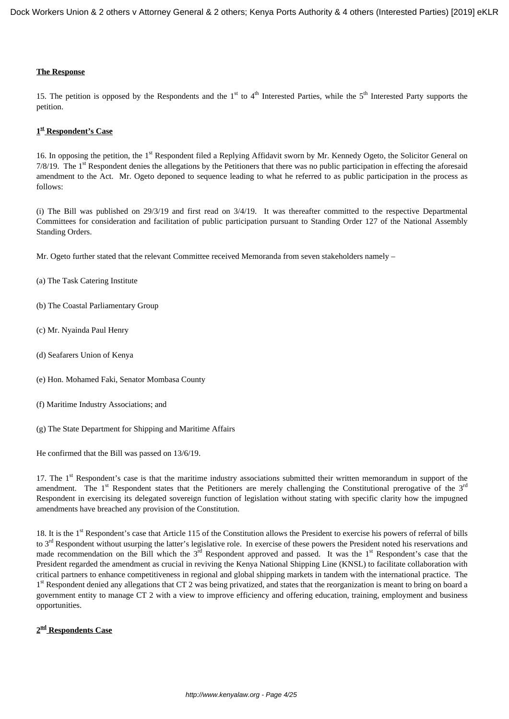#### **The Response**

15. The petition is opposed by the Respondents and the  $1<sup>st</sup>$  to  $4<sup>th</sup>$  Interested Parties, while the  $5<sup>th</sup>$  Interested Party supports the petition.

### **1 st Respondent's Case**

16. In opposing the petition, the 1<sup>st</sup> Respondent filed a Replying Affidavit sworn by Mr. Kennedy Ogeto, the Solicitor General on  $7/8/19$ . The  $1<sup>st</sup>$  Respondent denies the allegations by the Petitioners that there was no public participation in effecting the aforesaid amendment to the Act. Mr. Ogeto deponed to sequence leading to what he referred to as public participation in the process as follows:

(i) The Bill was published on 29/3/19 and first read on 3/4/19. It was thereafter committed to the respective Departmental Committees for consideration and facilitation of public participation pursuant to Standing Order 127 of the National Assembly Standing Orders.

- Mr. Ogeto further stated that the relevant Committee received Memoranda from seven stakeholders namely –
- (a) The Task Catering Institute
- (b) The Coastal Parliamentary Group
- (c) Mr. Nyainda Paul Henry
- (d) Seafarers Union of Kenya
- (e) Hon. Mohamed Faki, Senator Mombasa County
- (f) Maritime Industry Associations; and
- (g) The State Department for Shipping and Maritime Affairs

He confirmed that the Bill was passed on 13/6/19.

17. The  $1<sup>st</sup>$  Respondent's case is that the maritime industry associations submitted their written memorandum in support of the amendment. The  $1<sup>st</sup>$  Respondent states that the Petitioners are merely challenging the Constitutional prerogative of the  $3<sup>rd</sup>$ Respondent in exercising its delegated sovereign function of legislation without stating with specific clarity how the impugned amendments have breached any provision of the Constitution.

18. It is the 1<sup>st</sup> Respondent's case that Article 115 of the Constitution allows the President to exercise his powers of referral of bills to 3<sup>rd</sup> Respondent without usurping the latter's legislative role. In exercise of these powers the President noted his reservations and made recommendation on the Bill which the 3<sup>rd</sup> Respondent approved and passed. It was the 1<sup>st</sup> Respondent's case that the President regarded the amendment as crucial in reviving the Kenya National Shipping Line (KNSL) to facilitate collaboration with critical partners to enhance competitiveness in regional and global shipping markets in tandem with the international practice. The 1<sup>st</sup> Respondent denied any allegations that CT 2 was being privatized, and states that the reorganization is meant to bring on board a government entity to manage CT 2 with a view to improve efficiency and offering education, training, employment and business opportunities.

### **2 nd Respondents Case**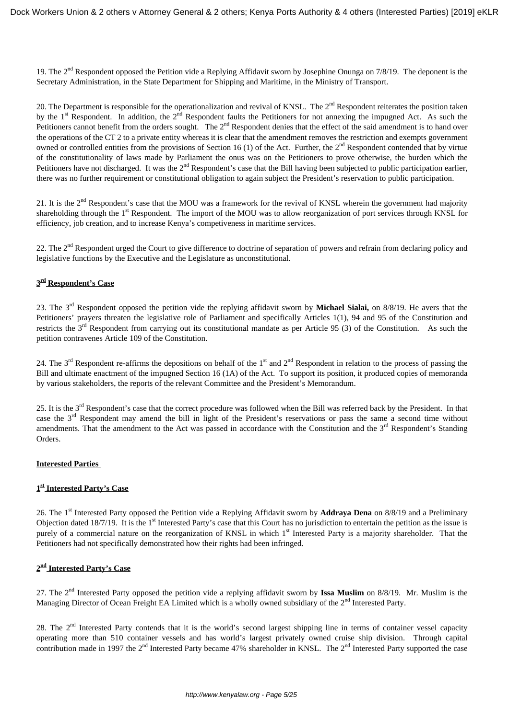19. The  $2<sup>nd</sup>$  Respondent opposed the Petition vide a Replying Affidavit sworn by Josephine Onunga on 7/8/19. The deponent is the Secretary Administration, in the State Department for Shipping and Maritime, in the Ministry of Transport.

20. The Department is responsible for the operationalization and revival of KNSL. The 2<sup>nd</sup> Respondent reiterates the position taken by the 1<sup>st</sup> Respondent. In addition, the 2<sup>nd</sup> Respondent faults the Petitioners for not annexing the impugned Act. As such the Petitioners cannot benefit from the orders sought. The  $2<sup>nd</sup>$  Respondent denies that the effect of the said amendment is to hand over the operations of the CT 2 to a private entity whereas it is clear that the amendment removes the restriction and exempts government owned or controlled entities from the provisions of Section 16 (1) of the Act. Further, the  $2<sup>nd</sup>$  Respondent contended that by virtue of the constitutionality of laws made by Parliament the onus was on the Petitioners to prove otherwise, the burden which the Petitioners have not discharged. It was the  $2<sup>nd</sup>$  Respondent's case that the Bill having been subjected to public participation earlier, there was no further requirement or constitutional obligation to again subject the President's reservation to public participation.

21. It is the  $2<sup>nd</sup>$  Respondent's case that the MOU was a framework for the revival of KNSL wherein the government had majority shareholding through the 1<sup>st</sup> Respondent. The import of the MOU was to allow reorganization of port services through KNSL for efficiency, job creation, and to increase Kenya's competiveness in maritime services.

22. The  $2<sup>nd</sup>$  Respondent urged the Court to give difference to doctrine of separation of powers and refrain from declaring policy and legislative functions by the Executive and the Legislature as unconstitutional.

# **3 rd Respondent's Case**

23. The 3rd Respondent opposed the petition vide the replying affidavit sworn by **Michael Sialai,** on 8/8/19. He avers that the Petitioners' prayers threaten the legislative role of Parliament and specifically Articles 1(1), 94 and 95 of the Constitution and restricts the 3<sup>rd</sup> Respondent from carrying out its constitutional mandate as per Article 95 (3) of the Constitution. As such the petition contravenes Article 109 of the Constitution.

24. The 3<sup>rd</sup> Respondent re-affirms the depositions on behalf of the 1<sup>st</sup> and 2<sup>nd</sup> Respondent in relation to the process of passing the Bill and ultimate enactment of the impugned Section 16 (1A) of the Act. To support its position, it produced copies of memoranda by various stakeholders, the reports of the relevant Committee and the President's Memorandum.

25. It is the 3<sup>rd</sup> Respondent's case that the correct procedure was followed when the Bill was referred back by the President. In that case the 3rd Respondent may amend the bill in light of the President's reservations or pass the same a second time without amendments. That the amendment to the Act was passed in accordance with the Constitution and the  $3<sup>rd</sup>$  Respondent's Standing Orders.

# **Interested Parties**

# **1 st Interested Party's Case**

26. The 1st Interested Party opposed the Petition vide a Replying Affidavit sworn by **Addraya Dena** on 8/8/19 and a Preliminary Objection dated 18/7/19. It is the 1st Interested Party's case that this Court has no jurisdiction to entertain the petition as the issue is purely of a commercial nature on the reorganization of KNSL in which 1<sup>st</sup> Interested Party is a majority shareholder. That the Petitioners had not specifically demonstrated how their rights had been infringed.

# **2 nd Interested Party's Case**

27. The 2nd Interested Party opposed the petition vide a replying affidavit sworn by **Issa Muslim** on 8/8/19. Mr. Muslim is the Managing Director of Ocean Freight EA Limited which is a wholly owned subsidiary of the 2<sup>nd</sup> Interested Party.

28. The 2<sup>nd</sup> Interested Party contends that it is the world's second largest shipping line in terms of container vessel capacity operating more than 510 container vessels and has world's largest privately owned cruise ship division. Through capital contribution made in 1997 the  $2<sup>nd</sup>$  Interested Party became 47% shareholder in KNSL. The  $2<sup>nd</sup>$  Interested Party supported the case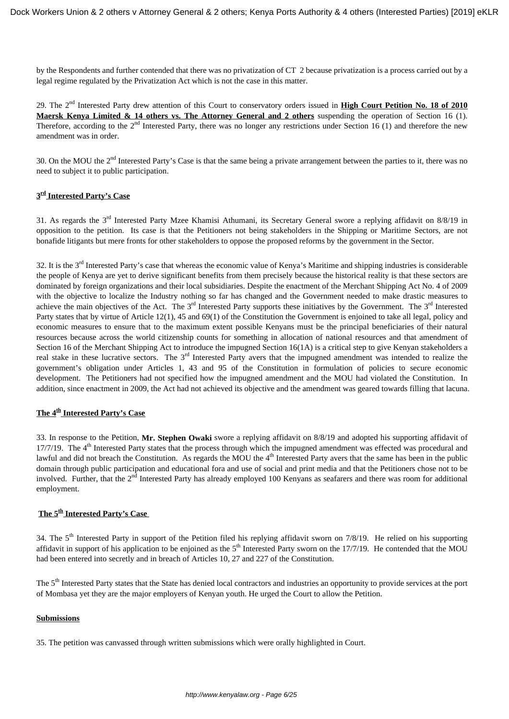by the Respondents and further contended that there was no privatization of CT 2 because privatization is a process carried out by a legal regime regulated by the Privatization Act which is not the case in this matter.

29. The 2nd Interested Party drew attention of this Court to conservatory orders issued in **High Court Petition No. 18 of 2010 Maersk Kenya Limited & 14 others vs. The Attorney General and 2 others** suspending the operation of Section 16 (1). Therefore, according to the  $2<sup>nd</sup>$  Interested Party, there was no longer any restrictions under Section 16 (1) and therefore the new amendment was in order.

30. On the MOU the  $2<sup>nd</sup>$  Interested Party's Case is that the same being a private arrangement between the parties to it, there was no need to subject it to public participation.

### **3 rd Interested Party's Case**

31. As regards the 3rd Interested Party Mzee Khamisi Athumani, its Secretary General swore a replying affidavit on 8/8/19 in opposition to the petition. Its case is that the Petitioners not being stakeholders in the Shipping or Maritime Sectors, are not bonafide litigants but mere fronts for other stakeholders to oppose the proposed reforms by the government in the Sector.

32. It is the 3<sup>rd</sup> Interested Party's case that whereas the economic value of Kenya's Maritime and shipping industries is considerable the people of Kenya are yet to derive significant benefits from them precisely because the historical reality is that these sectors are dominated by foreign organizations and their local subsidiaries. Despite the enactment of the Merchant Shipping Act No. 4 of 2009 with the objective to localize the Industry nothing so far has changed and the Government needed to make drastic measures to achieve the main objectives of the Act. The  $3<sup>rd</sup>$  Interested Party supports these initiatives by the Government. The  $3<sup>rd</sup>$  Interested Party states that by virtue of Article 12(1), 45 and 69(1) of the Constitution the Government is enjoined to take all legal, policy and economic measures to ensure that to the maximum extent possible Kenyans must be the principal beneficiaries of their natural resources because across the world citizenship counts for something in allocation of national resources and that amendment of Section 16 of the Merchant Shipping Act to introduce the impugned Section 16(1A) is a critical step to give Kenyan stakeholders a real stake in these lucrative sectors. The 3<sup>rd</sup> Interested Party avers that the impugned amendment was intended to realize the government's obligation under Articles 1, 43 and 95 of the Constitution in formulation of policies to secure economic development. The Petitioners had not specified how the impugned amendment and the MOU had violated the Constitution. In addition, since enactment in 2009, the Act had not achieved its objective and the amendment was geared towards filling that lacuna.

### **The 4th Interested Party's Case**

33. In response to the Petition, **Mr. Stephen Owaki** swore a replying affidavit on 8/8/19 and adopted his supporting affidavit of 17/7/19. The 4<sup>th</sup> Interested Party states that the process through which the impugned amendment was effected was procedural and lawful and did not breach the Constitution. As regards the MOU the  $4<sup>th</sup>$  Interested Party avers that the same has been in the public domain through public participation and educational fora and use of social and print media and that the Petitioners chose not to be involved. Further, that the 2<sup>nd</sup> Interested Party has already employed 100 Kenyans as seafarers and there was room for additional employment.

# **The 5th Interested Party's Case**

34. The 5<sup>th</sup> Interested Party in support of the Petition filed his replying affidavit sworn on 7/8/19. He relied on his supporting affidavit in support of his application to be enjoined as the  $5<sup>th</sup>$  Interested Party sworn on the 17/7/19. He contended that the MOU had been entered into secretly and in breach of Articles 10, 27 and 227 of the Constitution.

The 5<sup>th</sup> Interested Party states that the State has denied local contractors and industries an opportunity to provide services at the port of Mombasa yet they are the major employers of Kenyan youth. He urged the Court to allow the Petition.

### **Submissions**

35. The petition was canvassed through written submissions which were orally highlighted in Court.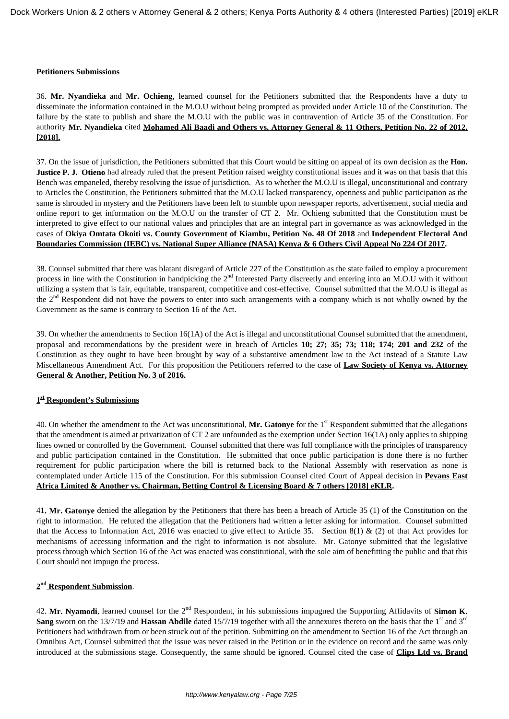#### **Petitioners Submissions**

36. **Mr. Nyandieka** and **Mr. Ochieng**, learned counsel for the Petitioners submitted that the Respondents have a duty to disseminate the information contained in the M.O.U without being prompted as provided under Article 10 of the Constitution. The failure by the state to publish and share the M.O.U with the public was in contravention of Article 35 of the Constitution. For authority **Mr. Nyandieka** cited **Mohamed Ali Baadi and Others vs. Attorney General & 11 Others, Petition No. 22 of 2012, [2018].**

37. On the issue of jurisdiction, the Petitioners submitted that this Court would be sitting on appeal of its own decision as the **Hon. Justice P. J. Otieno** had already ruled that the present Petition raised weighty constitutional issues and it was on that basis that this Bench was empaneled, thereby resolving the issue of jurisdiction. As to whether the M.O.U is illegal, unconstitutional and contrary to Articles the Constitution, the Petitioners submitted that the M.O.U lacked transparency, openness and public participation as the same is shrouded in mystery and the Petitioners have been left to stumble upon newspaper reports, advertisement, social media and online report to get information on the M.O.U on the transfer of CT 2. Mr. Ochieng submitted that the Constitution must be interpreted to give effect to our national values and principles that are an integral part in governance as was acknowledged in the cases of **Okiya Omtata Okoiti vs. County Government of Kiambu, Petition No. 48 Of 2018** and **Independent Electoral And Boundaries Commission (IEBC) vs. National Super Alliance (NASA) Kenya & 6 Others Civil Appeal No 224 Of 2017.**

38. Counsel submitted that there was blatant disregard of Article 227 of the Constitution as the state failed to employ a procurement process in line with the Constitution in handpicking the 2<sup>nd</sup> Interested Party discreetly and entering into an M.O.U with it without utilizing a system that is fair, equitable, transparent, competitive and cost-effective. Counsel submitted that the M.O.U is illegal as the 2nd Respondent did not have the powers to enter into such arrangements with a company which is not wholly owned by the Government as the same is contrary to Section 16 of the Act.

39. On whether the amendments to Section 16(1A) of the Act is illegal and unconstitutional Counsel submitted that the amendment, proposal and recommendations by the president were in breach of Articles **10; 27; 35; 73; 118; 174; 201 and 232** of the Constitution as they ought to have been brought by way of a substantive amendment law to the Act instead of a Statute Law Miscellaneous Amendment Act*.* For this proposition the Petitioners referred to the case of **Law Society of Kenya vs. Attorney General & Another, Petition No. 3 of 2016.** 

### **1 st Respondent's Submissions**

40. On whether the amendment to the Act was unconstitutional, **Mr. Gatonye** for the 1st Respondent submitted that the allegations that the amendment is aimed at privatization of CT 2 are unfounded as the exemption under Section 16(1A) only applies to shipping lines owned or controlled by the Government. Counsel submitted that there was full compliance with the principles of transparency and public participation contained in the Constitution. He submitted that once public participation is done there is no further requirement for public participation where the bill is returned back to the National Assembly with reservation as none is contemplated under Article 115 of the Constitution. For this submission Counsel cited Court of Appeal decision in **Pevans East Africa Limited & Another vs. Chairman, Betting Control & Licensing Board & 7 others [2018] eKLR.**

41**. Mr. Gatonye** denied the allegation by the Petitioners that there has been a breach of Article 35 (1) of the Constitution on the right to information. He refuted the allegation that the Petitioners had written a letter asking for information. Counsel submitted that the Access to Information Act, 2016 was enacted to give effect to Article 35. Section 8(1) & (2) of that Act provides for mechanisms of accessing information and the right to information is not absolute. Mr. Gatonye submitted that the legislative process through which Section 16 of the Act was enacted was constitutional, with the sole aim of benefitting the public and that this Court should not impugn the process.

# **2 nd Respondent Submission**.

42. **Mr. Nyamodi**, learned counsel for the 2nd Respondent, in his submissions impugned the Supporting Affidavits of **Simon K. Sang** sworn on the 13/7/19 and **Hassan Abdile** dated 15/7/19 together with all the annexures thereto on the basis that the 1<sup>st</sup> and 3<sup>rd</sup> Petitioners had withdrawn from or been struck out of the petition. Submitting on the amendment to Section 16 of the Act through an Omnibus Act, Counsel submitted that the issue was never raised in the Petition or in the evidence on record and the same was only introduced at the submissions stage. Consequently, the same should be ignored. Counsel cited the case of **Clips Ltd vs. Brand**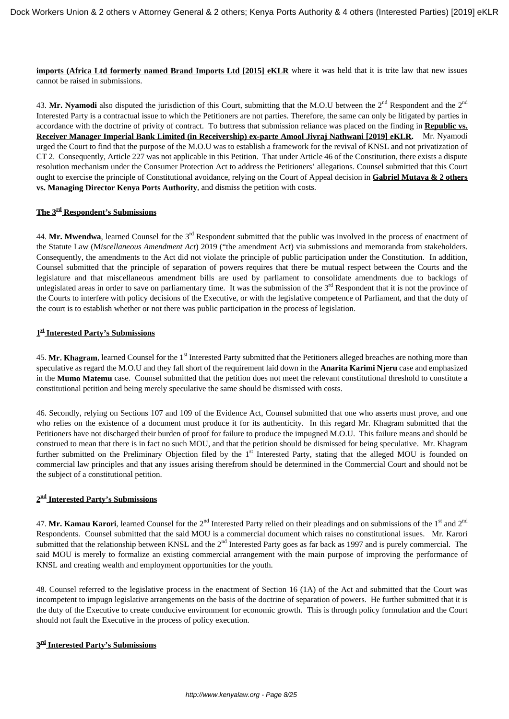**imports (Africa Ltd formerly named Brand Imports Ltd [2015] eKLR** where it was held that it is trite law that new issues cannot be raised in submissions.

43. Mr. Nyamodi also disputed the jurisdiction of this Court, submitting that the M.O.U between the  $2<sup>nd</sup>$  Respondent and the  $2<sup>nd</sup>$ Interested Party is a contractual issue to which the Petitioners are not parties. Therefore, the same can only be litigated by parties in accordance with the doctrine of privity of contract. To buttress that submission reliance was placed on the finding in **Republic vs. Receiver Manager Imperial Bank Limited (in Receivership) ex-parte Amool Jivraj Nathwani [2019] eKLR.** Mr. Nyamodi urged the Court to find that the purpose of the M.O.U was to establish a framework for the revival of KNSL and not privatization of CT 2. Consequently, Article 227 was not applicable in this Petition. That under Article 46 of the Constitution, there exists a dispute resolution mechanism under the Consumer Protection Act to address the Petitioners' allegations. Counsel submitted that this Court ought to exercise the principle of Constitutional avoidance, relying on the Court of Appeal decision in **Gabriel Mutava & 2 others vs. Managing Director Kenya Ports Authority**, and dismiss the petition with costs.

# **The 3rd Respondent's Submissions**

44. Mr. Mwendwa, learned Counsel for the 3<sup>rd</sup> Respondent submitted that the public was involved in the process of enactment of the Statute Law (M*iscellaneous Amendment Act*) 2019 ("the amendment Act) via submissions and memoranda from stakeholders. Consequently, the amendments to the Act did not violate the principle of public participation under the Constitution. In addition, Counsel submitted that the principle of separation of powers requires that there be mutual respect between the Courts and the legislature and that miscellaneous amendment bills are used by parliament to consolidate amendments due to backlogs of unlegislated areas in order to save on parliamentary time. It was the submission of the  $3<sup>rd</sup>$  Respondent that it is not the province of the Courts to interfere with policy decisions of the Executive, or with the legislative competence of Parliament, and that the duty of the court is to establish whether or not there was public participation in the process of legislation.

# **1 st Interested Party's Submissions**

45. Mr. Khagram, learned Counsel for the 1<sup>st</sup> Interested Party submitted that the Petitioners alleged breaches are nothing more than speculative as regard the M.O.U and they fall short of the requirement laid down in the **Anarita Karimi Njeru** case and emphasized in the **Mumo Matemu** case. Counsel submitted that the petition does not meet the relevant constitutional threshold to constitute a constitutional petition and being merely speculative the same should be dismissed with costs.

46. Secondly, relying on Sections 107 and 109 of the Evidence Act, Counsel submitted that one who asserts must prove, and one who relies on the existence of a document must produce it for its authenticity. In this regard Mr. Khagram submitted that the Petitioners have not discharged their burden of proof for failure to produce the impugned M.O.U. This failure means and should be construed to mean that there is in fact no such MOU, and that the petition should be dismissed for being speculative. Mr. Khagram further submitted on the Preliminary Objection filed by the 1<sup>st</sup> Interested Party, stating that the alleged MOU is founded on commercial law principles and that any issues arising therefrom should be determined in the Commercial Court and should not be the subject of a constitutional petition.

### **2 nd Interested Party's Submissions**

47. Mr. Kamau Karori, learned Counsel for the 2<sup>nd</sup> Interested Party relied on their pleadings and on submissions of the 1<sup>st</sup> and 2<sup>nd</sup> Respondents. Counsel submitted that the said MOU is a commercial document which raises no constitutional issues. Mr. Karori submitted that the relationship between KNSL and the 2<sup>nd</sup> Interested Party goes as far back as 1997 and is purely commercial. The said MOU is merely to formalize an existing commercial arrangement with the main purpose of improving the performance of KNSL and creating wealth and employment opportunities for the youth.

48. Counsel referred to the legislative process in the enactment of Section 16 (1A) of the Act and submitted that the Court was incompetent to impugn legislative arrangements on the basis of the doctrine of separation of powers. He further submitted that it is the duty of the Executive to create conducive environment for economic growth. This is through policy formulation and the Court should not fault the Executive in the process of policy execution.

### **3 rd Interested Party's Submissions**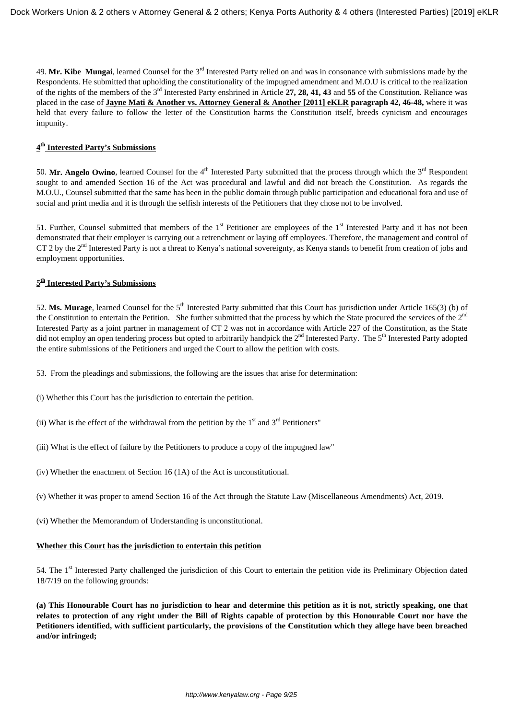49. **Mr. Kibe Mungai**, learned Counsel for the 3rd Interested Party relied on and was in consonance with submissions made by the Respondents. He submitted that upholding the constitutionality of the impugned amendment and M.O.U is critical to the realization of the rights of the members of the 3rd Interested Party enshrined in Article **27, 28, 41, 43** and **55** of the Constitution. Reliance was placed in the case of **Jayne Mati & Another vs. Attorney General & Another [2011] eKLR paragraph 42, 46-48,** where it was held that every failure to follow the letter of the Constitution harms the Constitution itself, breeds cynicism and encourages impunity.

# **4 th Interested Party's Submissions**

50. Mr. Angelo Owino, learned Counsel for the  $4<sup>th</sup>$  Interested Party submitted that the process through which the  $3<sup>rd</sup>$  Respondent sought to and amended Section 16 of the Act was procedural and lawful and did not breach the Constitution. As regards the M.O.U., Counsel submitted that the same has been in the public domain through public participation and educational fora and use of social and print media and it is through the selfish interests of the Petitioners that they chose not to be involved.

51. Further, Counsel submitted that members of the  $1<sup>st</sup>$  Petitioner are employees of the  $1<sup>st</sup>$  Interested Party and it has not been demonstrated that their employer is carrying out a retrenchment or laying off employees. Therefore, the management and control of CT 2 by the  $2<sup>nd</sup>$  Interested Party is not a threat to Kenya's national sovereignty, as Kenya stands to benefit from creation of jobs and employment opportunities.

# **5 th Interested Party's Submissions**

52. Ms. Murage, learned Counsel for the 5<sup>th</sup> Interested Party submitted that this Court has jurisdiction under Article 165(3) (b) of the Constitution to entertain the Petition. She further submitted that the process by which the State procured the services of the 2<sup>nd</sup> Interested Party as a joint partner in management of CT 2 was not in accordance with Article 227 of the Constitution, as the State did not employ an open tendering process but opted to arbitrarily handpick the  $2<sup>nd</sup>$  Interested Party. The  $5<sup>th</sup>$  Interested Party adopted the entire submissions of the Petitioners and urged the Court to allow the petition with costs.

- 53. From the pleadings and submissions, the following are the issues that arise for determination:
- (i) Whether this Court has the jurisdiction to entertain the petition.
- (ii) What is the effect of the withdrawal from the petition by the  $1<sup>st</sup>$  and  $3<sup>rd</sup>$  Petitioners"
- (iii) What is the effect of failure by the Petitioners to produce a copy of the impugned law"
- (iv) Whether the enactment of Section 16 (1A) of the Act is unconstitutional.
- (v) Whether it was proper to amend Section 16 of the Act through the Statute Law (Miscellaneous Amendments) Act, 2019.
- (vi) Whether the Memorandum of Understanding is unconstitutional.

#### **Whether this Court has the jurisdiction to entertain this petition**

54. The 1st Interested Party challenged the jurisdiction of this Court to entertain the petition vide its Preliminary Objection dated 18/7/19 on the following grounds:

**(a) This Honourable Court has no jurisdiction to hear and determine this petition as it is not, strictly speaking, one that relates to protection of any right under the Bill of Rights capable of protection by this Honourable Court nor have the Petitioners identified, with sufficient particularly, the provisions of the Constitution which they allege have been breached and/or infringed;**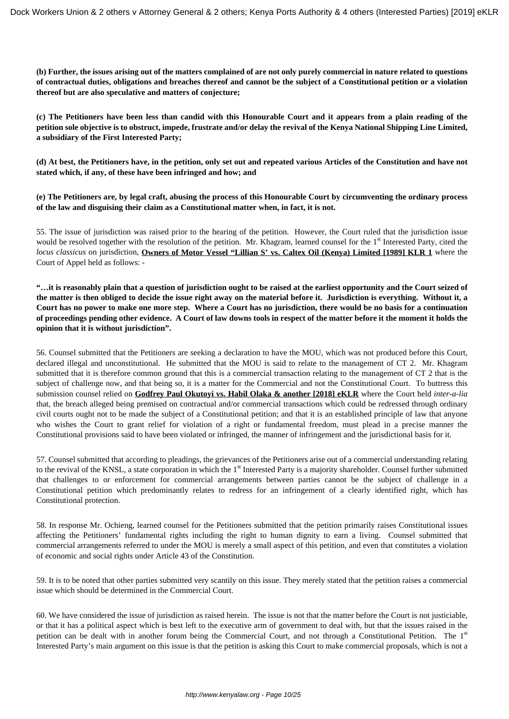**(b) Further, the issues arising out of the matters complained of are not only purely commercial in nature related to questions of contractual duties, obligations and breaches thereof and cannot be the subject of a Constitutional petition or a violation thereof but are also speculative and matters of conjecture;**

**(c) The Petitioners have been less than candid with this Honourable Court and it appears from a plain reading of the petition sole objective is to obstruct, impede, frustrate and/or delay the revival of the Kenya National Shipping Line Limited, a subsidiary of the First Interested Party;**

**(d) At best, the Petitioners have, in the petition, only set out and repeated various Articles of the Constitution and have not stated which, if any, of these have been infringed and how; and**

**(e) The Petitioners are, by legal craft, abusing the process of this Honourable Court by circumventing the ordinary process of the law and disguising their claim as a Constitutional matter when, in fact, it is not.**

55. The issue of jurisdiction was raised prior to the hearing of the petition. However, the Court ruled that the jurisdiction issue would be resolved together with the resolution of the petition. Mr. Khagram, learned counsel for the 1<sup>st</sup> Interested Party, cited the *locus classicus* on jurisdiction, **Owners of Motor Vessel "Lillian S' vs. Caltex Oil (Kenya) Limited [1989] KLR 1</mark> where the** Court of Appel held as follows: -

**"…it is reasonably plain that a question of jurisdiction ought to be raised at the earliest opportunity and the Court seized of the matter is then obliged to decide the issue right away on the material before it. Jurisdiction is everything. Without it, a Court has no power to make one more step. Where a Court has no jurisdiction, there would be no basis for a continuation of proceedings pending other evidence. A Court of law downs tools in respect of the matter before it the moment it holds the opinion that it is without jurisdiction".**

56. Counsel submitted that the Petitioners are seeking a declaration to have the MOU, which was not produced before this Court, declared illegal and unconstitutional. He submitted that the MOU is said to relate to the management of CT 2. Mr. Khagram submitted that it is therefore common ground that this is a commercial transaction relating to the management of CT 2 that is the subject of challenge now, and that being so, it is a matter for the Commercial and not the Constitutional Court. To buttress this submission counsel relied on **Godfrey Paul Okutoyi vs. Habil Olaka & another [2018] eKLR** where the Court held *inter-a-lia* that, the breach alleged being premised on contractual and/or commercial transactions which could be redressed through ordinary civil courts ought not to be made the subject of a Constitutional petition; and that it is an established principle of law that anyone who wishes the Court to grant relief for violation of a right or fundamental freedom, must plead in a precise manner the Constitutional provisions said to have been violated or infringed, the manner of infringement and the jurisdictional basis for it.

57. Counsel submitted that according to pleadings, the grievances of the Petitioners arise out of a commercial understanding relating to the revival of the KNSL, a state corporation in which the 1<sup>st</sup> Interested Party is a majority shareholder. Counsel further submitted that challenges to or enforcement for commercial arrangements between parties cannot be the subject of challenge in a Constitutional petition which predominantly relates to redress for an infringement of a clearly identified right, which has Constitutional protection.

58. In response Mr. Ochieng, learned counsel for the Petitioners submitted that the petition primarily raises Constitutional issues affecting the Petitioners' fundamental rights including the right to human dignity to earn a living. Counsel submitted that commercial arrangements referred to under the MOU is merely a small aspect of this petition, and even that constitutes a violation of economic and social rights under Article 43 of the Constitution.

59. It is to be noted that other parties submitted very scantily on this issue. They merely stated that the petition raises a commercial issue which should be determined in the Commercial Court.

60. We have considered the issue of jurisdiction as raised herein. The issue is not that the matter before the Court is not justiciable, or that it has a political aspect which is best left to the executive arm of government to deal with, but that the issues raised in the petition can be dealt with in another forum being the Commercial Court, and not through a Constitutional Petition. The 1<sup>st</sup> Interested Party's main argument on this issue is that the petition is asking this Court to make commercial proposals, which is not a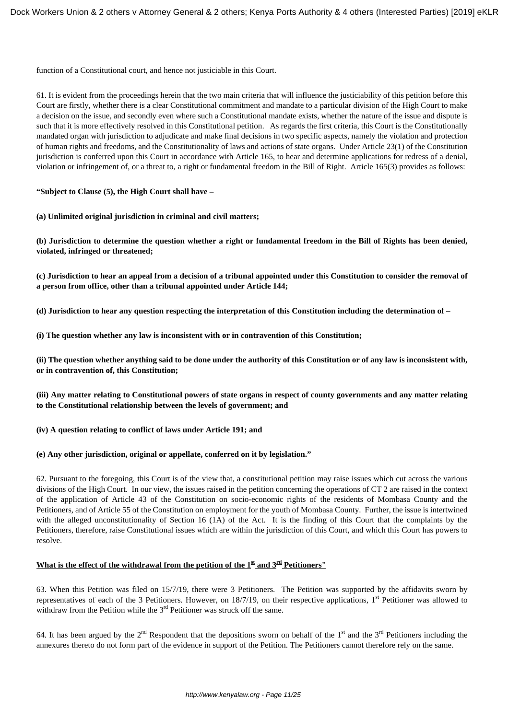function of a Constitutional court, and hence not justiciable in this Court.

61. It is evident from the proceedings herein that the two main criteria that will influence the justiciability of this petition before this Court are firstly, whether there is a clear Constitutional commitment and mandate to a particular division of the High Court to make a decision on the issue, and secondly even where such a Constitutional mandate exists, whether the nature of the issue and dispute is such that it is more effectively resolved in this Constitutional petition. As regards the first criteria, this Court is the Constitutionally mandated organ with jurisdiction to adjudicate and make final decisions in two specific aspects, namely the violation and protection of human rights and freedoms, and the Constitutionality of laws and actions of state organs. Under Article 23(1) of the Constitution jurisdiction is conferred upon this Court in accordance with Article 165, to hear and determine applications for redress of a denial, violation or infringement of, or a threat to, a right or fundamental freedom in the Bill of Right. Article 165(3) provides as follows:

**"Subject to Clause (5), the High Court shall have –**

**(a) Unlimited original jurisdiction in criminal and civil matters;**

**(b) Jurisdiction to determine the question whether a right or fundamental freedom in the Bill of Rights has been denied, violated, infringed or threatened;**

**(c) Jurisdiction to hear an appeal from a decision of a tribunal appointed under this Constitution to consider the removal of a person from office, other than a tribunal appointed under Article 144;**

**(d) Jurisdiction to hear any question respecting the interpretation of this Constitution including the determination of –**

**(i) The question whether any law is inconsistent with or in contravention of this Constitution;**

**(ii) The question whether anything said to be done under the authority of this Constitution or of any law is inconsistent with, or in contravention of, this Constitution;**

**(iii) Any matter relating to Constitutional powers of state organs in respect of county governments and any matter relating to the Constitutional relationship between the levels of government; and** 

### **(iv) A question relating to conflict of laws under Article 191; and**

### **(e) Any other jurisdiction, original or appellate, conferred on it by legislation."**

62. Pursuant to the foregoing, this Court is of the view that, a constitutional petition may raise issues which cut across the various divisions of the High Court. In our view, the issues raised in the petition concerning the operations of CT 2 are raised in the context of the application of Article 43 of the Constitution on socio-economic rights of the residents of Mombasa County and the Petitioners, and of Article 55 of the Constitution on employment for the youth of Mombasa County. Further, the issue is intertwined with the alleged unconstitutionality of Section 16 (1A) of the Act. It is the finding of this Court that the complaints by the Petitioners, therefore, raise Constitutional issues which are within the jurisdiction of this Court, and which this Court has powers to resolve.

### **What is the effect of the withdrawal from the petition of the**  $1<sup>st</sup>$  **and**  $3<sup>rd</sup>$  **Petitioners"**

63. When this Petition was filed on 15/7/19, there were 3 Petitioners. The Petition was supported by the affidavits sworn by representatives of each of the 3 Petitioners. However, on  $18/7/19$ , on their respective applications,  $1<sup>st</sup>$  Petitioner was allowed to withdraw from the Petition while the 3<sup>rd</sup> Petitioner was struck off the same.

64. It has been argued by the  $2<sup>nd</sup>$  Respondent that the depositions sworn on behalf of the 1<sup>st</sup> and the  $3<sup>rd</sup>$  Petitioners including the annexures thereto do not form part of the evidence in support of the Petition. The Petitioners cannot therefore rely on the same.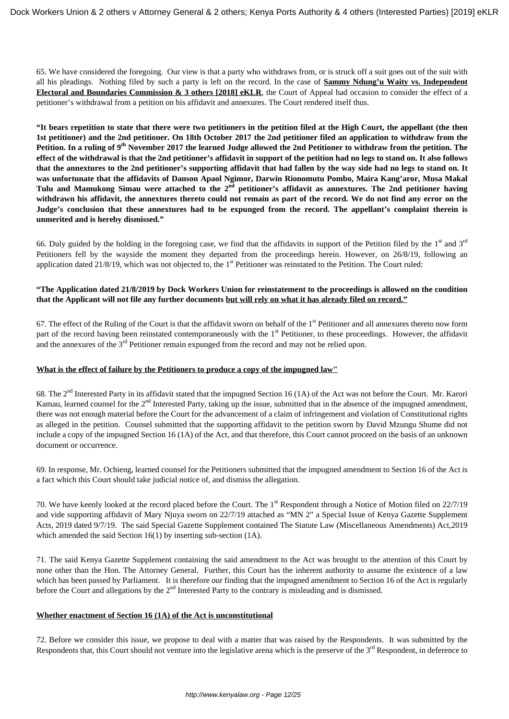65. We have considered the foregoing. Our view is that a party who withdraws from, or is struck off a suit goes out of the suit with all his pleadings. Nothing filed by such a party is left on the record. In the case of **Sammy Ndung'u Waity vs. Independent Electoral and Boundaries Commission & 3 others [2018] eKLR**, the Court of Appeal had occasion to consider the effect of a petitioner's withdrawal from a petition on his affidavit and annexures. The Court rendered itself thus.

**"It bears repetition to state that there were two petitioners in the petition filed at the High Court, the appellant (the then 1st petitioner) and the 2nd petitioner. On 18th October 2017 the 2nd petitioner filed an application to withdraw from the Petition. In a ruling of 9th November 2017 the learned Judge allowed the 2nd Petitioner to withdraw from the petition. The effect of the withdrawal is that the 2nd petitioner's affidavit in support of the petition had no legs to stand on. It also follows that the annextures to the 2nd petitioner's supporting affidavit that had fallen by the way side had no legs to stand on. It was unfortunate that the affidavits of Danson Apaol Ngimor, Darwin Rionomutu Pombo, Maira Kang'aror, Musa Makal Tulu and Mamukong Simau were attached to the 2nd petitioner's affidavit as annextures. The 2nd petitioner having withdrawn his affidavit, the annextures thereto could not remain as part of the record. We do not find any error on the Judge's conclusion that these annextures had to be expunged from the record. The appellant's complaint therein is unmerited and is hereby dismissed."**

66. Duly guided by the holding in the foregoing case, we find that the affidavits in support of the Petition filed by the  $1<sup>st</sup>$  and  $3<sup>rd</sup>$ Petitioners fell by the wayside the moment they departed from the proceedings herein. However, on 26/8/19, following an application dated 21/8/19, which was not objected to, the  $1<sup>st</sup>$  Petitioner was reinstated to the Petition. The Court ruled:

### **"The Application dated 21/8/2019 by Dock Workers Union for reinstatement to the proceedings is allowed on the condition that the Applicant will not file any further documents but will rely on what it has already filed on record."**

67. The effect of the Ruling of the Court is that the affidavit sworn on behalf of the  $1<sup>st</sup>$  Petitioner and all annexures thereto now form part of the record having been reinstated contemporaneously with the 1<sup>st</sup> Petitioner, to these proceedings. However, the affidavit and the annexures of the 3<sup>rd</sup> Petitioner remain expunged from the record and may not be relied upon.

### **What is the effect of failure by the Petitioners to produce a copy of the impugned law"**

68. The 2nd Interested Party in its affidavit stated that the impugned Section 16 (1A) of the Act was not before the Court. Mr. Karori Kamau, learned counsel for the  $2<sup>nd</sup>$  Interested Party, taking up the issue, submitted that in the absence of the impugned amendment, there was not enough material before the Court for the advancement of a claim of infringement and violation of Constitutional rights as alleged in the petition. Counsel submitted that the supporting affidavit to the petition sworn by David Mzungu Shume did not include a copy of the impugned Section 16 (1A) of the Act, and that therefore, this Court cannot proceed on the basis of an unknown document or occurrence.

69. In response, Mr. Ochieng, learned counsel for the Petitioners submitted that the impugned amendment to Section 16 of the Act is a fact which this Court should take judicial notice of, and dismiss the allegation.

70. We have keenly looked at the record placed before the Court. The 1<sup>st</sup> Respondent through a Notice of Motion filed on 22/7/19 and vide supporting affidavit of Mary Njuya sworn on 22/7/19 attached as "MN 2" a Special Issue of Kenya Gazette Supplement Acts, 2019 dated 9/7/19. The said Special Gazette Supplement contained The Statute Law (Miscellaneous Amendments) Act,2019 which amended the said Section 16(1) by inserting sub-section (1A).

71. The said Kenya Gazette Supplement containing the said amendment to the Act was brought to the attention of this Court by none other than the Hon. The Attorney General. Further, this Court has the inherent authority to assume the existence of a law which has been passed by Parliament. It is therefore our finding that the impugned amendment to Section 16 of the Act is regularly before the Court and allegations by the 2<sup>nd</sup> Interested Party to the contrary is misleading and is dismissed.

### **Whether enactment of Section 16 (1A) of the Act is unconstitutional**

72. Before we consider this issue, we propose to deal with a matter that was raised by the Respondents. It was submitted by the Respondents that, this Court should not venture into the legislative arena which is the preserve of the  $3<sup>rd</sup>$  Respondent, in deference to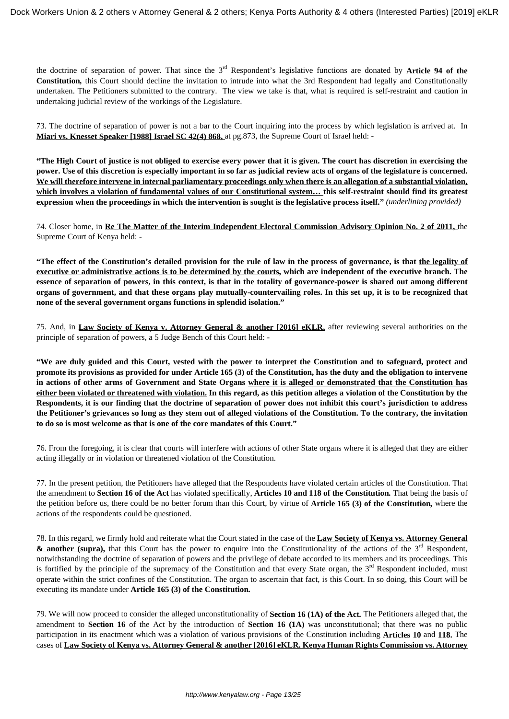the doctrine of separation of power. That since the 3rd Respondent's legislative functions are donated by **Article 94 of the Constitution***,* this Court should decline the invitation to intrude into what the 3rd Respondent had legally and Constitutionally undertaken. The Petitioners submitted to the contrary. The view we take is that, what is required is self-restraint and caution in undertaking judicial review of the workings of the Legislature.

73. The doctrine of separation of power is not a bar to the Court inquiring into the process by which legislation is arrived at. In **Miari vs. Knesset Speaker [1988] Israel SC 42(4) 868,** at pg.873, the Supreme Court of Israel held: -

**"The High Court of justice is not obliged to exercise every power that it is given. The court has discretion in exercising the power. Use of this discretion is especially important in so far as judicial review acts of organs of the legislature is concerned. We will therefore intervene in internal parliamentary proceedings only when there is an allegation of a substantial violation, which involves a violation of fundamental values of our Constitutional system… this self-restraint should find its greatest expression when the proceedings in which the intervention is sought is the legislative process itself."** *(underlining provided)*

74. Closer home, in **Re The Matter of the Interim Independent Electoral Commission Advisory Opinion No. 2 of 2011,** the Supreme Court of Kenya held: -

**"The effect of the Constitution's detailed provision for the rule of law in the process of governance, is that the legality of executive or administrative actions is to be determined by the courts, which are independent of the executive branch. The essence of separation of powers, in this context, is that in the totality of governance-power is shared out among different organs of government, and that these organs play mutually-countervailing roles. In this set up, it is to be recognized that none of the several government organs functions in splendid isolation."**

75. And, in **Law Society of Kenya v. Attorney General & another [2016] eKLR,** after reviewing several authorities on the principle of separation of powers, a 5 Judge Bench of this Court held: -

**"We are duly guided and this Court, vested with the power to interpret the Constitution and to safeguard, protect and promote its provisions as provided for under Article 165 (3) of the Constitution, has the duty and the obligation to intervene in actions of other arms of Government and State Organs where it is alleged or demonstrated that the Constitution has either been violated or threatened with violation. In this regard, as this petition alleges a violation of the Constitution by the Respondents, it is our finding that the doctrine of separation of power does not inhibit this court's jurisdiction to address the Petitioner's grievances so long as they stem out of alleged violations of the Constitution. To the contrary, the invitation to do so is most welcome as that is one of the core mandates of this Court."**

76. From the foregoing, it is clear that courts will interfere with actions of other State organs where it is alleged that they are either acting illegally or in violation or threatened violation of the Constitution.

77. In the present petition, the Petitioners have alleged that the Respondents have violated certain articles of the Constitution. That the amendment to **Section 16 of the Act** has violated specifically, **Articles 10 and 118 of the Constitution***.* That being the basis of the petition before us, there could be no better forum than this Court, by virtue of **Article 165 (3) of the Constitution***,* where the actions of the respondents could be questioned.

78. In this regard, we firmly hold and reiterate what the Court stated in the case of the **Law Society of Kenya vs. Attorney General & another (supra),** that this Court has the power to enquire into the Constitutionality of the actions of the 3<sup>rd</sup> Respondent, notwithstanding the doctrine of separation of powers and the privilege of debate accorded to its members and its proceedings. This is fortified by the principle of the supremacy of the Constitution and that every State organ, the  $3<sup>rd</sup>$  Respondent included, must operate within the strict confines of the Constitution. The organ to ascertain that fact, is this Court. In so doing, this Court will be executing its mandate under **Article 165 (3) of the Constitution***.*

79. We will now proceed to consider the alleged unconstitutionality of **Section 16 (1A) of the Act***.* The Petitioners alleged that, the amendment to **Section 16** of the Act by the introduction of **Section 16 (1A)** was unconstitutional; that there was no public participation in its enactment which was a violation of various provisions of the Constitution including **Articles 10** and **118.** The cases of **Law Society of Kenya vs. Attorney General & another [2016] eKLR, Kenya Human Rights Commission vs. Attorney**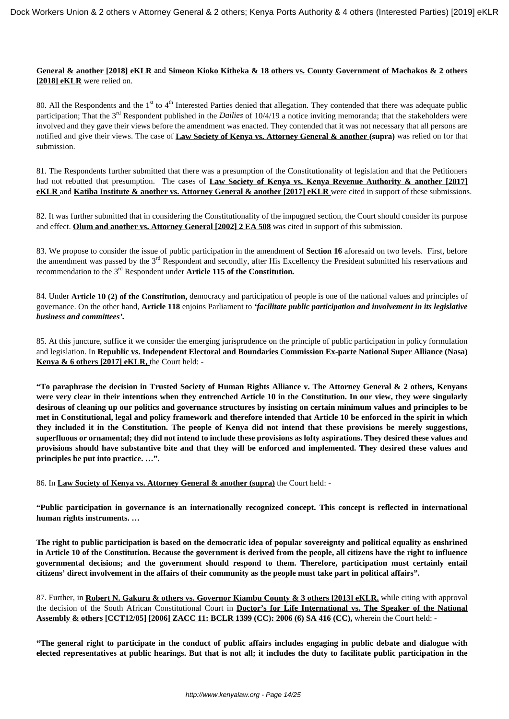#### **General & another [2018] eKLR** and **Simeon Kioko Kitheka & 18 others vs. County Government of Machakos & 2 others [2018] eKLR** were relied on.

80. All the Respondents and the  $1<sup>st</sup>$  to  $4<sup>th</sup>$  Interested Parties denied that allegation. They contended that there was adequate public participation; That the 3<sup>rd</sup> Respondent published in the *Dailies* of 10/4/19 a notice inviting memoranda; that the stakeholders were involved and they gave their views before the amendment was enacted. They contended that it was not necessary that all persons are notified and give their views. The case of **Law Society of Kenya vs. Attorney General & another (supra)** was relied on for that submission.

81. The Respondents further submitted that there was a presumption of the Constitutionality of legislation and that the Petitioners had not rebutted that presumption. The cases of **Law Society of Kenya vs. Kenya Revenue Authority & another [2017] eKLR** and **Katiba Institute & another vs. Attorney General & another [2017] eKLR** were cited in support of these submissions.

82. It was further submitted that in considering the Constitutionality of the impugned section, the Court should consider its purpose and effect. **Olum and another vs. Attorney General [2002] 2 EA 508** was cited in support of this submission.

83. We propose to consider the issue of public participation in the amendment of **Section 16** aforesaid on two levels. First, before the amendment was passed by the  $3<sup>rd</sup>$  Respondent and secondly, after His Excellency the President submitted his reservations and recommendation to the 3rd Respondent under **Article 115 of the Constitution***.* 

84. Under **Article 10 (2) of the Constitution,** democracy and participation of people is one of the national values and principles of governance. On the other hand, **Article 118** enjoins Parliament to *'facilitate public participation and involvement in its legislative business and committees'.* 

85. At this juncture, suffice it we consider the emerging jurisprudence on the principle of public participation in policy formulation and legislation. In **Republic vs. Independent Electoral and Boundaries Commission Ex-parte National Super Alliance (Nasa) Kenya & 6 others [2017] eKLR,** the Court held: -

**"To paraphrase the decision in Trusted Society of Human Rights Alliance v. The Attorney General & 2 others, Kenyans were very clear in their intentions when they entrenched Article 10 in the Constitution. In our view, they were singularly desirous of cleaning up our politics and governance structures by insisting on certain minimum values and principles to be met in Constitutional, legal and policy framework and therefore intended that Article 10 be enforced in the spirit in which they included it in the Constitution. The people of Kenya did not intend that these provisions be merely suggestions, superfluous or ornamental; they did not intend to include these provisions as lofty aspirations. They desired these values and provisions should have substantive bite and that they will be enforced and implemented. They desired these values and principles be put into practice. …".** 

86. In **Law Society of Kenya vs. Attorney General & another (supra)** the Court held: -

**"Public participation in governance is an internationally recognized concept. This concept is reflected in international human rights instruments. …** 

**The right to public participation is based on the democratic idea of popular sovereignty and political equality as enshrined in Article 10 of the Constitution. Because the government is derived from the people, all citizens have the right to influence governmental decisions; and the government should respond to them. Therefore, participation must certainly entail citizens' direct involvement in the affairs of their community as the people must take part in political affairs".**

87. Further, in **Robert N. Gakuru & others vs. Governor Kiambu County & 3 others [2013] eKLR,** while citing with approval the decision of the South African Constitutional Court in **Doctor's for Life International vs. The Speaker of the National Assembly & others [CCT12/05] [2006] ZACC 11: BCLR 1399 (CC): 2006 (6) SA 416 (CC),** wherein the Court held: -

**"The general right to participate in the conduct of public affairs includes engaging in public debate and dialogue with elected representatives at public hearings. But that is not all; it includes the duty to facilitate public participation in the**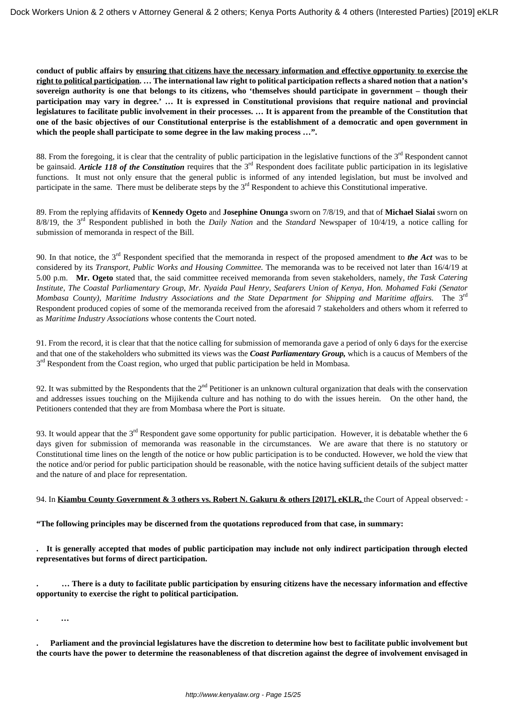**conduct of public affairs by ensuring that citizens have the necessary information and effective opportunity to exercise the right to political participation. … The international law right to political participation reflects a shared notion that a nation's sovereign authority is one that belongs to its citizens, who 'themselves should participate in government – though their participation may vary in degree.' … It is expressed in Constitutional provisions that require national and provincial legislatures to facilitate public involvement in their processes. … It is apparent from the preamble of the Constitution that one of the basic objectives of our Constitutional enterprise is the establishment of a democratic and open government in which the people shall participate to some degree in the law making process …".**

88. From the foregoing, it is clear that the centrality of public participation in the legislative functions of the 3<sup>rd</sup> Respondent cannot be gainsaid. *Article 118 of the Constitution* requires that the 3<sup>rd</sup> Respondent does facilitate public participation in its legislative functions. It must not only ensure that the general public is informed of any intended legislation, but must be involved and participate in the same. There must be deliberate steps by the 3<sup>rd</sup> Respondent to achieve this Constitutional imperative.

89. From the replying affidavits of **Kennedy Ogeto** and **Josephine Onunga** sworn on 7/8/19, and that of **Michael Sialai** sworn on 8/8/19, the 3rd Respondent published in both the *Daily Nation* and the *Standard* Newspaper of 10/4/19, a notice calling for submission of memoranda in respect of the Bill.

90. In that notice, the 3rd Respondent specified that the memoranda in respect of the proposed amendment to *the Act* was to be considered by its *Transport, Public Works and Housing Committee.* The memoranda was to be received not later than 16/4/19 at 5.00 p.m. **Mr. Ogeto** stated that, the said committee received memoranda from seven stakeholders, namely, *the Task Catering Institute, The Coastal Parliamentary Group, Mr. Nyaida Paul Henry, Seafarers Union of Kenya, Hon. Mohamed Faki (Senator Mombasa County), Maritime Industry Associations and the State Department for Shipping and Maritime affairs.* The 3rd Respondent produced copies of some of the memoranda received from the aforesaid 7 stakeholders and others whom it referred to as *Maritime Industry Associations* whose contents the Court noted.

91. From the record, it is clear that that the notice calling for submission of memoranda gave a period of only 6 days for the exercise and that one of the stakeholders who submitted its views was the *Coast Parliamentary Group,* which is a caucus of Members of the 3<sup>rd</sup> Respondent from the Coast region, who urged that public participation be held in Mombasa.

92. It was submitted by the Respondents that the  $2<sup>nd</sup>$  Petitioner is an unknown cultural organization that deals with the conservation and addresses issues touching on the Mijikenda culture and has nothing to do with the issues herein. On the other hand, the Petitioners contended that they are from Mombasa where the Port is situate.

93. It would appear that the  $3<sup>rd</sup>$  Respondent gave some opportunity for public participation. However, it is debatable whether the 6 days given for submission of memoranda was reasonable in the circumstances. We are aware that there is no statutory or Constitutional time lines on the length of the notice or how public participation is to be conducted. However, we hold the view that the notice and/or period for public participation should be reasonable, with the notice having sufficient details of the subject matter and the nature of and place for representation.

94. In **Kiambu County Government & 3 others vs. Robert N. Gakuru & others [2017], eKLR,** the Court of Appeal observed: -

**"The following principles may be discerned from the quotations reproduced from that case, in summary:**

**. It is generally accepted that modes of public participation may include not only indirect participation through elected representatives but forms of direct participation.**

**. … There is a duty to facilitate public participation by ensuring citizens have the necessary information and effective opportunity to exercise the right to political participation.**

**. …**

**. Parliament and the provincial legislatures have the discretion to determine how best to facilitate public involvement but the courts have the power to determine the reasonableness of that discretion against the degree of involvement envisaged in**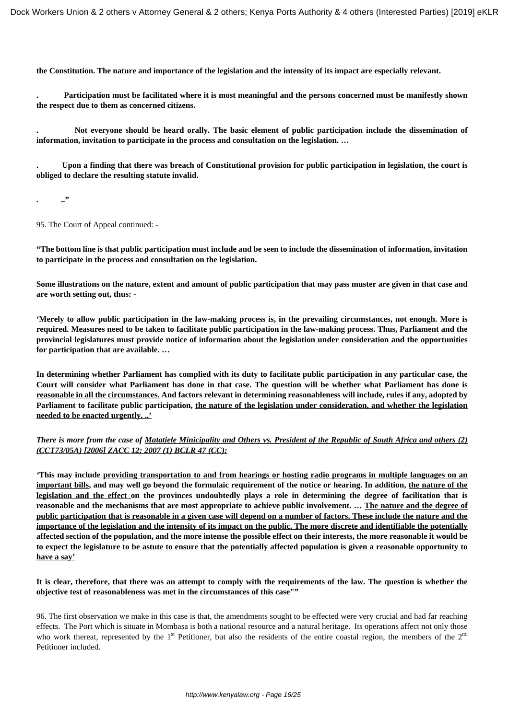**the Constitution. The nature and importance of the legislation and the intensity of its impact are especially relevant.**

**. Participation must be facilitated where it is most meaningful and the persons concerned must be manifestly shown the respect due to them as concerned citizens.**

**. Not everyone should be heard orally. The basic element of public participation include the dissemination of information, invitation to participate in the process and consultation on the legislation. …**

**. Upon a finding that there was breach of Constitutional provision for public participation in legislation, the court is obliged to declare the resulting statute invalid.** 

**. .."**

95. The Court of Appeal continued: -

**"The bottom line is that public participation must include and be seen to include the dissemination of information, invitation to participate in the process and consultation on the legislation.**

**Some illustrations on the nature, extent and amount of public participation that may pass muster are given in that case and are worth setting out, thus: -**

**'Merely to allow public participation in the law-making process is, in the prevailing circumstances, not enough. More is required. Measures need to be taken to facilitate public participation in the law-making process. Thus, Parliament and the provincial legislatures must provide notice of information about the legislation under consideration and the opportunities for participation that are available. …**

**In determining whether Parliament has complied with its duty to facilitate public participation in any particular case, the Court will consider what Parliament has done in that case. The question will be whether what Parliament has done is reasonable in all the circumstances. And factors relevant in determining reasonableness will include, rules if any, adopted by Parliament to facilitate public participation, the nature of the legislation under consideration, and whether the legislation needed to be enacted urgently. ..'**

### *There is more from the case of Matatiele Minicipality and Others vs. President of the Republic of South Africa and others (2) (CCT73/05A) [2006] ZACC 12; 2007 (1) BCLR 47 (CC):*

*'***This may include providing transportation to and from hearings or hosting radio programs in multiple languages on an important bills, and may well go beyond the formulaic requirement of the notice or hearing. In addition, the nature of the legislation and the effect on the provinces undoubtedly plays a role in determining the degree of facilitation that is reasonable and the mechanisms that are most appropriate to achieve public involvement. … The nature and the degree of public participation that is reasonable in a given case will depend on a number of factors. These include the nature and the importance of the legislation and the intensity of its impact on the public. The more discrete and identifiable the potentially affected section of the population, and the more intense the possible effect on their interests, the more reasonable it would be to expect the legislature to be astute to ensure that the potentially affected population is given a reasonable opportunity to have a say'**

**It is clear, therefore, that there was an attempt to comply with the requirements of the law. The question is whether the objective test of reasonableness was met in the circumstances of this case""**

96. The first observation we make in this case is that, the amendments sought to be effected were very crucial and had far reaching effects. The Port which is situate in Mombasa is both a national resource and a natural heritage. Its operations affect not only those who work thereat, represented by the  $1<sup>st</sup>$  Petitioner, but also the residents of the entire coastal region, the members of the  $2<sup>nd</sup>$ Petitioner included.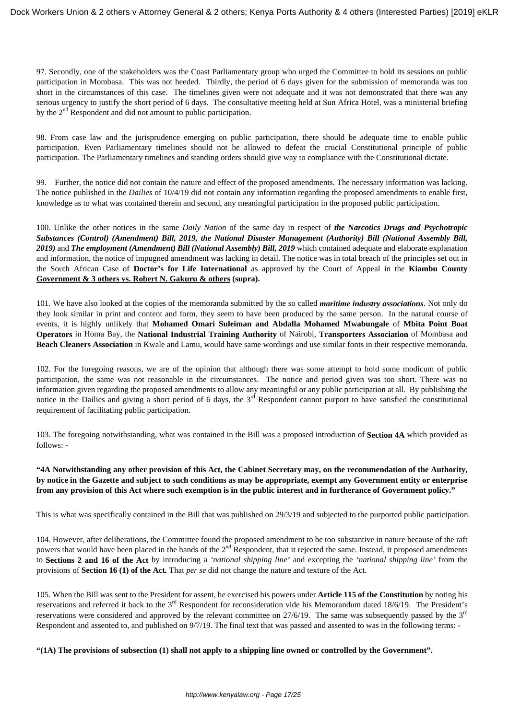97. Secondly, one of the stakeholders was the Coast Parliamentary group who urged the Committee to hold its sessions on public participation in Mombasa. This was not heeded. Thirdly, the period of 6 days given for the submission of memoranda was too short in the circumstances of this case. The timelines given were not adequate and it was not demonstrated that there was any serious urgency to justify the short period of 6 days. The consultative meeting held at Sun Africa Hotel, was a ministerial briefing by the 2<sup>nd</sup> Respondent and did not amount to public participation.

98. From case law and the jurisprudence emerging on public participation, there should be adequate time to enable public participation. Even Parliamentary timelines should not be allowed to defeat the crucial Constitutional principle of public participation. The Parliamentary timelines and standing orders should give way to compliance with the Constitutional dictate.

99. Further, the notice did not contain the nature and effect of the proposed amendments. The necessary information was lacking. The notice published in the *Dailies* of 10/4/19 did not contain any information regarding the proposed amendments to enable first, knowledge as to what was contained therein and second, any meaningful participation in the proposed public participation.

100. Unlike the other notices in the same *Daily Nation* of the same day in respect of *the Narcotics Drugs and Psychotropic Substances (Control) (Amendment) Bill, 2019, the National Disaster Management (Authority) Bill (National Assembly Bill, 2019)* and *The employment (Amendment) Bill (National Assembly) Bill, 2019* which contained adequate and elaborate explanation and information, the notice of impugned amendment was lacking in detail. The notice was in total breach of the principles set out in the South African Case of **Doctor's for Life International** as approved by the Court of Appeal in the **Kiambu County Government & 3 others vs. Robert N. Gakuru & others (supra).**

101. We have also looked at the copies of the memoranda submitted by the so called *maritime industry associations*. Not only do they look similar in print and content and form, they seem to have been produced by the same person. In the natural course of events, it is highly unlikely that **Mohamed Omari Suleiman and Abdalla Mohamed Mwabungale** of **Mbita Point Boat Operators** in Homa Bay, the **National Industrial Training Authority** of Nairobi, **Transporters Association** of Mombasa and **Beach Cleaners Association** in Kwale and Lamu, would have same wordings and use similar fonts in their respective memoranda.

102. For the foregoing reasons, we are of the opinion that although there was some attempt to hold some modicum of public participation, the same was not reasonable in the circumstances. The notice and period given was too short. There was no information given regarding the proposed amendments to allow any meaningful or any public participation at all. By publishing the notice in the Dailies and giving a short period of 6 days, the  $3<sup>rd</sup>$  Respondent cannot purport to have satisfied the constitutional requirement of facilitating public participation.

103. The foregoing notwithstanding, what was contained in the Bill was a proposed introduction of **Section 4A** which provided as follows: -

### **"4A Notwithstanding any other provision of this Act, the Cabinet Secretary may, on the recommendation of the Authority, by notice in the Gazette and subject to such conditions as may be appropriate, exempt any Government entity or enterprise from any provision of this Act where such exemption is in the public interest and in furtherance of Government policy."**

This is what was specifically contained in the Bill that was published on 29/3/19 and subjected to the purported public participation.

104. However, after deliberations, the Committee found the proposed amendment to be too substantive in nature because of the raft powers that would have been placed in the hands of the  $2<sup>nd</sup>$  Respondent, that it rejected the same. Instead, it proposed amendments to **Sections 2 and 16 of the Act** by introducing a *'national shipping line'* and excepting the *'national shipping line'* from the provisions of **Section 16 (1) of the Act***.* That *per se* did not change the nature and texture of the Act.

105. When the Bill was sent to the President for assent, he exercised his powers under **Article 115 of the Constitution** by noting his reservations and referred it back to the 3<sup>rd</sup> Respondent for reconsideration vide his Memorandum dated 18/6/19. The President's reservations were considered and approved by the relevant committee on  $27/6/19$ . The same was subsequently passed by the  $3<sup>rd</sup>$ Respondent and assented to, and published on 9/7/19. The final text that was passed and assented to was in the following terms: -

**"(1A) The provisions of subsection (1) shall not apply to a shipping line owned or controlled by the Government".**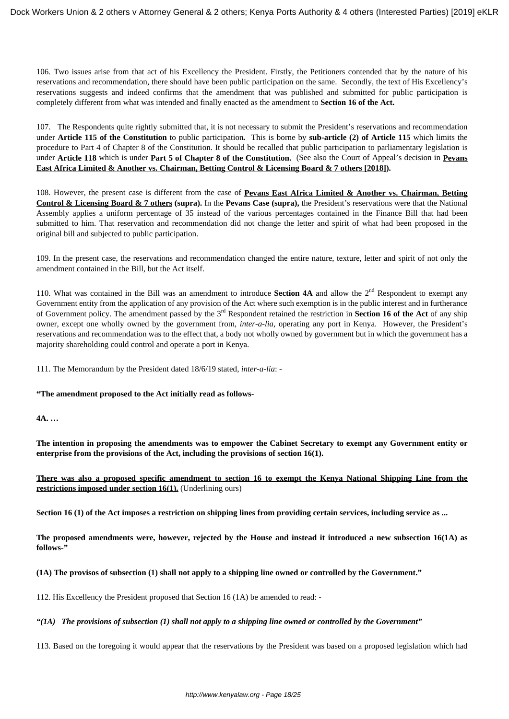106. Two issues arise from that act of his Excellency the President. Firstly, the Petitioners contended that by the nature of his reservations and recommendation, there should have been public participation on the same. Secondly, the text of His Excellency's reservations suggests and indeed confirms that the amendment that was published and submitted for public participation is completely different from what was intended and finally enacted as the amendment to **Section 16 of the Act.**

107. The Respondents quite rightly submitted that, it is not necessary to submit the President's reservations and recommendation under **Article 115 of the Constitution** to public participation*.* This is borne by **sub-article (2) of Article 115** which limits the procedure to Part 4 of Chapter 8 of the Constitution. It should be recalled that public participation to parliamentary legislation is under **Article 118** which is under **Part 5 of Chapter 8 of the Constitution.** (See also the Court of Appeal's decision in **Pevans East Africa Limited & Another vs. Chairman, Betting Control & Licensing Board & 7 others [2018]).**

108. However, the present case is different from the case of **Pevans East Africa Limited & Another vs. Chairman, Betting Control & Licensing Board & 7 others (supra).** In the **Pevans Case (supra),** the President's reservations were that the National Assembly applies a uniform percentage of 35 instead of the various percentages contained in the Finance Bill that had been submitted to him. That reservation and recommendation did not change the letter and spirit of what had been proposed in the original bill and subjected to public participation.

109. In the present case, the reservations and recommendation changed the entire nature, texture, letter and spirit of not only the amendment contained in the Bill, but the Act itself.

110. What was contained in the Bill was an amendment to introduce **Section 4A** and allow the  $2<sup>nd</sup>$  Respondent to exempt any Government entity from the application of any provision of the Act where such exemption is in the public interest and in furtherance of Government policy. The amendment passed by the 3rd Respondent retained the restriction in **Section 16 of the Act** of any ship owner, except one wholly owned by the government from, *inter-a-lia*, operating any port in Kenya. However, the President's reservations and recommendation was to the effect that, a body not wholly owned by government but in which the government has a majority shareholding could control and operate a port in Kenya.

111. The Memorandum by the President dated 18/6/19 stated, *inter-a-lia*: -

### **"The amendment proposed to the Act initially read as follows-**

**4A. …**

**The intention in proposing the amendments was to empower the Cabinet Secretary to exempt any Government entity or enterprise from the provisions of the Act, including the provisions of section 16(1).**

**There was also a proposed specific amendment to section 16 to exempt the Kenya National Shipping Line from the restrictions imposed under section 16(1).** (Underlining ours)

**Section 16 (1) of the Act imposes a restriction on shipping lines from providing certain services, including service as ...** 

**The proposed amendments were, however, rejected by the House and instead it introduced a new subsection 16(1A) as follows-"**

### **(1A) The provisos of subsection (1) shall not apply to a shipping line owned or controlled by the Government."**

112. His Excellency the President proposed that Section 16 (1A) be amended to read: -

### *"(1A) The provisions of subsection (1) shall not apply to a shipping line owned or controlled by the Government"*

113. Based on the foregoing it would appear that the reservations by the President was based on a proposed legislation which had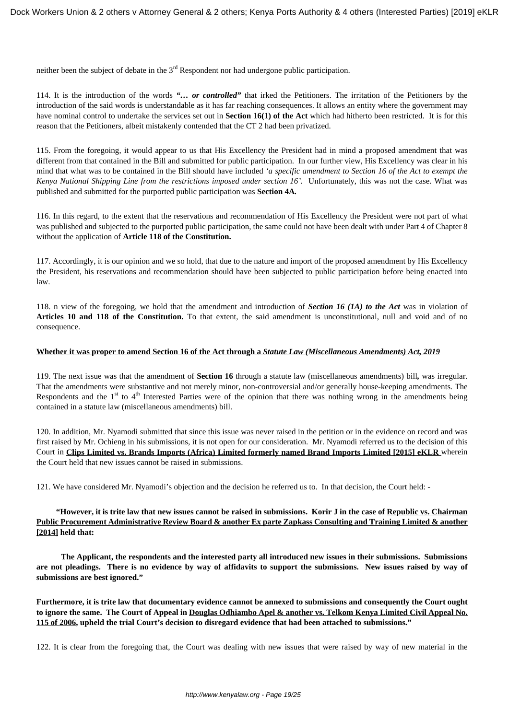neither been the subject of debate in the  $3<sup>rd</sup>$  Respondent nor had undergone public participation.

114. It is the introduction of the words *"… or controlled"* that irked the Petitioners. The irritation of the Petitioners by the introduction of the said words is understandable as it has far reaching consequences. It allows an entity where the government may have nominal control to undertake the services set out in **Section 16(1) of the Act** which had hitherto been restricted. It is for this reason that the Petitioners, albeit mistakenly contended that the CT 2 had been privatized.

115. From the foregoing, it would appear to us that His Excellency the President had in mind a proposed amendment that was different from that contained in the Bill and submitted for public participation. In our further view, His Excellency was clear in his mind that what was to be contained in the Bill should have included *'a specific amendment to Section 16 of the Act to exempt the Kenya National Shipping Line from the restrictions imposed under section 16'.* Unfortunately, this was not the case. What was published and submitted for the purported public participation was **Section 4A***.*

116. In this regard, to the extent that the reservations and recommendation of His Excellency the President were not part of what was published and subjected to the purported public participation, the same could not have been dealt with under Part 4 of Chapter 8 without the application of **Article 118 of the Constitution.** 

117. Accordingly, it is our opinion and we so hold, that due to the nature and import of the proposed amendment by His Excellency the President, his reservations and recommendation should have been subjected to public participation before being enacted into law.

118. n view of the foregoing, we hold that the amendment and introduction of *Section 16 (1A) to the Act* was in violation of **Articles 10 and 118 of the Constitution.** To that extent, the said amendment is unconstitutional, null and void and of no consequence.

#### **Whether it was proper to amend Section 16 of the Act through a** *Statute Law (Miscellaneous Amendments) Act, 2019*

119. The next issue was that the amendment of **Section 16** through a statute law (miscellaneous amendments) bill*,* was irregular. That the amendments were substantive and not merely minor, non-controversial and/or generally house-keeping amendments. The Respondents and the  $1<sup>st</sup>$  to  $4<sup>th</sup>$  Interested Parties were of the opinion that there was nothing wrong in the amendments being contained in a statute law (miscellaneous amendments) bill.

120. In addition, Mr. Nyamodi submitted that since this issue was never raised in the petition or in the evidence on record and was first raised by Mr. Ochieng in his submissions, it is not open for our consideration. Mr. Nyamodi referred us to the decision of this Court in **Clips Limited vs. Brands Imports (Africa) Limited formerly named Brand Imports Limited [2015] eKLR** wherein the Court held that new issues cannot be raised in submissions.

121. We have considered Mr. Nyamodi's objection and the decision he referred us to. In that decision, the Court held: -

### **"However, it is trite law that new issues cannot be raised in submissions. Korir J in the case of Republic vs. Chairman Public Procurement Administrative Review Board & another Ex parte Zapkass Consulting and Training Limited & another [2014] held that:**

 **The Applicant, the respondents and the interested party all introduced new issues in their submissions. Submissions are not pleadings. There is no evidence by way of affidavits to support the submissions. New issues raised by way of submissions are best ignored."**

**Furthermore, it is trite law that documentary evidence cannot be annexed to submissions and consequently the Court ought to ignore the same. The Court of Appeal in Douglas Odhiambo Apel & another vs. Telkom Kenya Limited Civil Appeal No. 115 of 2006, upheld the trial Court's decision to disregard evidence that had been attached to submissions."**

122. It is clear from the foregoing that, the Court was dealing with new issues that were raised by way of new material in the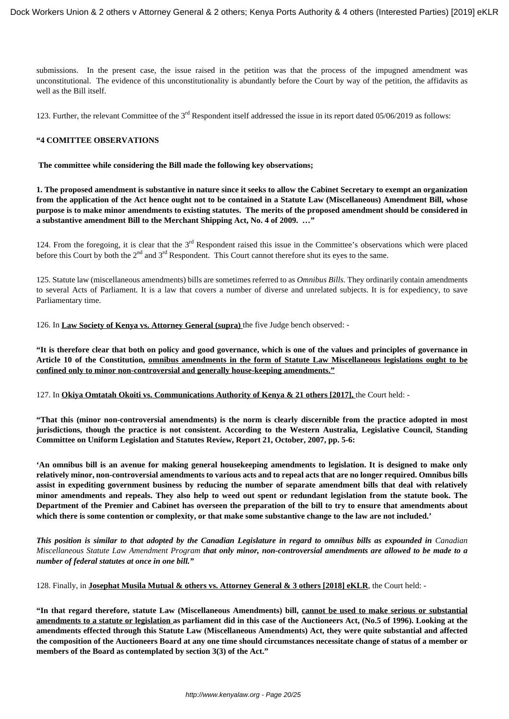submissions. In the present case, the issue raised in the petition was that the process of the impugned amendment was unconstitutional. The evidence of this unconstitutionality is abundantly before the Court by way of the petition, the affidavits as well as the Bill itself.

123. Further, the relevant Committee of the  $3<sup>rd</sup>$  Respondent itself addressed the issue in its report dated 05/06/2019 as follows:

#### **"4 COMITTEE OBSERVATIONS**

**The committee while considering the Bill made the following key observations;**

**1. The proposed amendment is substantive in nature since it seeks to allow the Cabinet Secretary to exempt an organization from the application of the Act hence ought not to be contained in a Statute Law (Miscellaneous) Amendment Bill, whose purpose is to make minor amendments to existing statutes. The merits of the proposed amendment should be considered in a substantive amendment Bill to the Merchant Shipping Act, No. 4 of 2009. …"**

124. From the foregoing, it is clear that the 3<sup>rd</sup> Respondent raised this issue in the Committee's observations which were placed before this Court by both the  $2<sup>nd</sup>$  and  $3<sup>rd</sup>$  Respondent. This Court cannot therefore shut its eyes to the same.

125. Statute law (miscellaneous amendments) bills are sometimes referred to as *Omnibus Bills.* They ordinarily contain amendments to several Acts of Parliament*.* It is a law that covers a number of diverse and unrelated subjects. It is for expediency, to save Parliamentary time.

126. In **Law Society of Kenya vs. Attorney General (supra)** the five Judge bench observed: -

**"It is therefore clear that both on policy and good governance, which is one of the values and principles of governance in Article 10 of the Constitution, omnibus amendments in the form of Statute Law Miscellaneous legislations ought to be confined only to minor non-controversial and generally house-keeping amendments."**

127. In **Okiya Omtatah Okoiti vs. Communications Authority of Kenya & 21 others [2017],** the Court held: -

**"That this (minor non-controversial amendments) is the norm is clearly discernible from the practice adopted in most jurisdictions, though the practice is not consistent. According to the Western Australia, Legislative Council, Standing Committee on Uniform Legislation and Statutes Review, Report 21, October, 2007, pp. 5-6:**

**'An omnibus bill is an avenue for making general housekeeping amendments to legislation. It is designed to make only relatively minor, non-controversial amendments to various acts and to repeal acts that are no longer required. Omnibus bills assist in expediting government business by reducing the number of separate amendment bills that deal with relatively minor amendments and repeals. They also help to weed out spent or redundant legislation from the statute book. The Department of the Premier and Cabinet has overseen the preparation of the bill to try to ensure that amendments about which there is some contention or complexity, or that make some substantive change to the law are not included.'**

*This position is similar to that adopted by the Canadian Legislature in regard to omnibus bills as expounded in Canadian Miscellaneous Statute Law Amendment Program that only minor, non-controversial amendments are allowed to be made to a number of federal statutes at once in one bill."*

128. Finally, in **Josephat Musila Mutual & others vs. Attorney General & 3 others [2018] eKLR**, the Court held: -

**"In that regard therefore, statute Law (Miscellaneous Amendments) bill, cannot be used to make serious or substantial amendments to a statute or legislation as parliament did in this case of the Auctioneers Act, (No.5 of 1996). Looking at the amendments effected through this Statute Law (Miscellaneous Amendments) Act, they were quite substantial and affected the composition of the Auctioneers Board at any one time should circumstances necessitate change of status of a member or members of the Board as contemplated by section 3(3) of the Act."**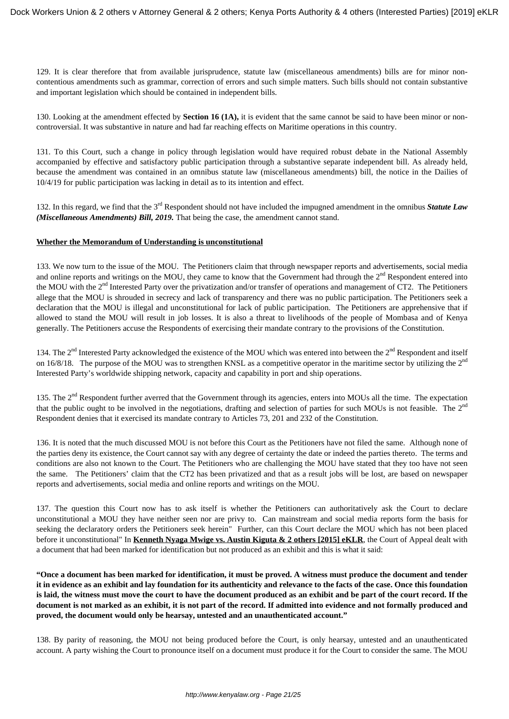129. It is clear therefore that from available jurisprudence, statute law (miscellaneous amendments) bills are for minor noncontentious amendments such as grammar, correction of errors and such simple matters. Such bills should not contain substantive and important legislation which should be contained in independent bills.

130. Looking at the amendment effected by **Section 16 (1A),** it is evident that the same cannot be said to have been minor or noncontroversial. It was substantive in nature and had far reaching effects on Maritime operations in this country.

131. To this Court, such a change in policy through legislation would have required robust debate in the National Assembly accompanied by effective and satisfactory public participation through a substantive separate independent bill. As already held, because the amendment was contained in an omnibus statute law (miscellaneous amendments) bill, the notice in the Dailies of 10/4/19 for public participation was lacking in detail as to its intention and effect.

132. In this regard, we find that the 3rd Respondent should not have included the impugned amendment in the omnibus *Statute Law (Miscellaneous Amendments) Bill, 2019.* That being the case, the amendment cannot stand.

### **Whether the Memorandum of Understanding is unconstitutional**

133. We now turn to the issue of the MOU. The Petitioners claim that through newspaper reports and advertisements, social media and online reports and writings on the MOU, they came to know that the Government had through the 2<sup>nd</sup> Respondent entered into the MOU with the 2<sup>nd</sup> Interested Party over the privatization and/or transfer of operations and management of CT2. The Petitioners allege that the MOU is shrouded in secrecy and lack of transparency and there was no public participation. The Petitioners seek a declaration that the MOU is illegal and unconstitutional for lack of public participation. The Petitioners are apprehensive that if allowed to stand the MOU will result in job losses. It is also a threat to livelihoods of the people of Mombasa and of Kenya generally. The Petitioners accuse the Respondents of exercising their mandate contrary to the provisions of the Constitution.

134. The 2<sup>nd</sup> Interested Party acknowledged the existence of the MOU which was entered into between the 2<sup>nd</sup> Respondent and itself on 16/8/18. The purpose of the MOU was to strengthen KNSL as a competitive operator in the maritime sector by utilizing the  $2<sup>nd</sup>$ Interested Party's worldwide shipping network, capacity and capability in port and ship operations.

135. The 2<sup>nd</sup> Respondent further averred that the Government through its agencies, enters into MOUs all the time. The expectation that the public ought to be involved in the negotiations, drafting and selection of parties for such MOUs is not feasible. The  $2<sup>nd</sup>$ Respondent denies that it exercised its mandate contrary to Articles 73, 201 and 232 of the Constitution.

136. It is noted that the much discussed MOU is not before this Court as the Petitioners have not filed the same. Although none of the parties deny its existence, the Court cannot say with any degree of certainty the date or indeed the parties thereto. The terms and conditions are also not known to the Court. The Petitioners who are challenging the MOU have stated that they too have not seen the same. The Petitioners' claim that the CT2 has been privatized and that as a result jobs will be lost, are based on newspaper reports and advertisements, social media and online reports and writings on the MOU.

137. The question this Court now has to ask itself is whether the Petitioners can authoritatively ask the Court to declare unconstitutional a MOU they have neither seen nor are privy to. Can mainstream and social media reports form the basis for seeking the declaratory orders the Petitioners seek herein" Further, can this Court declare the MOU which has not been placed before it unconstitutional" In **Kenneth Nyaga Mwige vs. Austin Kiguta & 2 others [2015] eKLR**, the Court of Appeal dealt with a document that had been marked for identification but not produced as an exhibit and this is what it said:

**"Once a document has been marked for identification, it must be proved. A witness must produce the document and tender it in evidence as an exhibit and lay foundation for its authenticity and relevance to the facts of the case. Once this foundation is laid, the witness must move the court to have the document produced as an exhibit and be part of the court record. If the document is not marked as an exhibit, it is not part of the record. If admitted into evidence and not formally produced and proved, the document would only be hearsay, untested and an unauthenticated account."**

138. By parity of reasoning, the MOU not being produced before the Court, is only hearsay, untested and an unauthenticated account. A party wishing the Court to pronounce itself on a document must produce it for the Court to consider the same. The MOU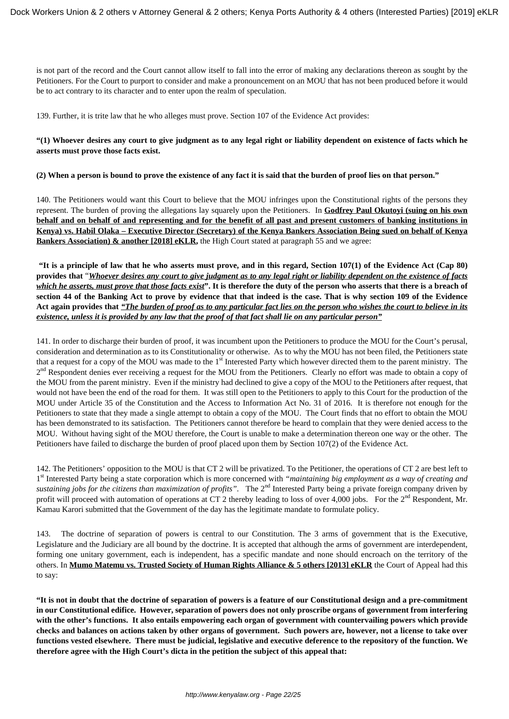is not part of the record and the Court cannot allow itself to fall into the error of making any declarations thereon as sought by the Petitioners. For the Court to purport to consider and make a pronouncement on an MOU that has not been produced before it would be to act contrary to its character and to enter upon the realm of speculation.

139. Further, it is trite law that he who alleges must prove. Section 107 of the Evidence Act provides:

### **"(1) Whoever desires any court to give judgment as to any legal right or liability dependent on existence of facts which he asserts must prove those facts exist.**

**(2) When a person is bound to prove the existence of any fact it is said that the burden of proof lies on that person."**

140. The Petitioners would want this Court to believe that the MOU infringes upon the Constitutional rights of the persons they represent. The burden of proving the allegations lay squarely upon the Petitioners. In **Godfrey Paul Okutoyi (suing on his own behalf and on behalf of and representing and for the benefit of all past and present customers of banking institutions in Kenya) vs. Habil Olaka – Executive Director (Secretary) of the Kenya Bankers Association Being sued on behalf of Kenya** Bankers Association) & another [2018] eKLR, the High Court stated at paragraph 55 and we agree:

**"It is a principle of law that he who asserts must prove, and in this regard, Section 107(1) of the Evidence Act (Cap 80) provides that** "*Whoever desires any court to give judgment as to any legal right or liability dependent on the existence of facts which he asserts, must prove that those facts exist***". It is therefore the duty of the person who asserts that there is a breach of section 44 of the Banking Act to prove by evidence that that indeed is the case. That is why section 109 of the Evidence Act again provides that** *"The burden of proof as to any particular fact lies on the person who wishes the court to believe in its existence, unless it is provided by any law that the proof of that fact shall lie on any particular person"*

141. In order to discharge their burden of proof, it was incumbent upon the Petitioners to produce the MOU for the Court's perusal, consideration and determination as to its Constitutionality or otherwise. As to why the MOU has not been filed, the Petitioners state that a request for a copy of the MOU was made to the  $1<sup>st</sup>$  Interested Party which however directed them to the parent ministry. The 2<sup>nd</sup> Respondent denies ever receiving a request for the MOU from the Petitioners. Clearly no effort was made to obtain a copy of the MOU from the parent ministry. Even if the ministry had declined to give a copy of the MOU to the Petitioners after request, that would not have been the end of the road for them. It was still open to the Petitioners to apply to this Court for the production of the MOU under Article 35 of the Constitution and the Access to Information Act No. 31 of 2016. It is therefore not enough for the Petitioners to state that they made a single attempt to obtain a copy of the MOU. The Court finds that no effort to obtain the MOU has been demonstrated to its satisfaction. The Petitioners cannot therefore be heard to complain that they were denied access to the MOU. Without having sight of the MOU therefore, the Court is unable to make a determination thereon one way or the other. The Petitioners have failed to discharge the burden of proof placed upon them by Section 107(2) of the Evidence Act.

142. The Petitioners' opposition to the MOU is that CT 2 will be privatized. To the Petitioner, the operations of CT 2 are best left to 1<sup>st</sup> Interested Party being a state corporation which is more concerned with *"maintaining big employment as a way of creating and* sustaining jobs for the citizens than maximization of profits". The 2<sup>nd</sup> Interested Party being a private foreign company driven by profit will proceed with automation of operations at CT 2 thereby leading to loss of over 4,000 jobs. For the  $2<sup>nd</sup>$  Respondent, Mr. Kamau Karori submitted that the Government of the day has the legitimate mandate to formulate policy.

143. The doctrine of separation of powers is central to our Constitution. The 3 arms of government that is the Executive, Legislature and the Judiciary are all bound by the doctrine. It is accepted that although the arms of government are interdependent, forming one unitary government, each is independent, has a specific mandate and none should encroach on the territory of the others. In **Mumo Matemu vs. Trusted Society of Human Rights Alliance & 5 others [2013] eKLR** the Court of Appeal had this to say:

**"It is not in doubt that the doctrine of separation of powers is a feature of our Constitutional design and a pre-commitment in our Constitutional edifice. However, separation of powers does not only proscribe organs of government from interfering with the other's functions. It also entails empowering each organ of government with countervailing powers which provide checks and balances on actions taken by other organs of government. Such powers are, however, not a license to take over functions vested elsewhere. There must be judicial, legislative and executive deference to the repository of the function. We therefore agree with the High Court's dicta in the petition the subject of this appeal that:**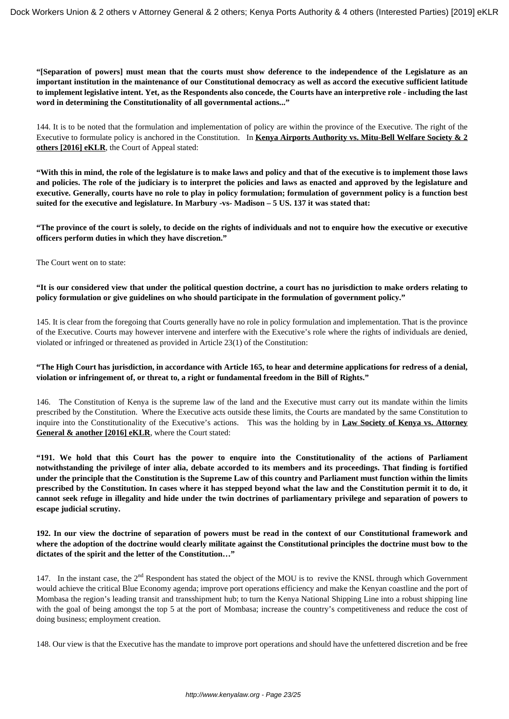**"[Separation of powers] must mean that the courts must show deference to the independence of the Legislature as an important institution in the maintenance of our Constitutional democracy as well as accord the executive sufficient latitude to implement legislative intent. Yet, as the Respondents also concede, the Courts have an interpretive role - including the last word in determining the Constitutionality of all governmental actions..."**

144. It is to be noted that the formulation and implementation of policy are within the province of the Executive. The right of the Executive to formulate policy is anchored in the Constitution. In **Kenya Airports Authority vs. Mitu-Bell Welfare Society & 2 others [2016] eKLR**, the Court of Appeal stated:

**"With this in mind, the role of the legislature is to make laws and policy and that of the executive is to implement those laws and policies. The role of the judiciary is to interpret the policies and laws as enacted and approved by the legislature and executive. Generally, courts have no role to play in policy formulation; formulation of government policy is a function best suited for the executive and legislature. In Marbury -vs- Madison – 5 US. 137 it was stated that:**

**"The province of the court is solely, to decide on the rights of individuals and not to enquire how the executive or executive officers perform duties in which they have discretion."**

The Court went on to state:

**"It is our considered view that under the political question doctrine, a court has no jurisdiction to make orders relating to policy formulation or give guidelines on who should participate in the formulation of government policy."**

145. It is clear from the foregoing that Courts generally have no role in policy formulation and implementation. That is the province of the Executive. Courts may however intervene and interfere with the Executive's role where the rights of individuals are denied, violated or infringed or threatened as provided in Article 23(1) of the Constitution:

### **"The High Court has jurisdiction, in accordance with Article 165, to hear and determine applications for redress of a denial, violation or infringement of, or threat to, a right or fundamental freedom in the Bill of Rights."**

146. The Constitution of Kenya is the supreme law of the land and the Executive must carry out its mandate within the limits prescribed by the Constitution. Where the Executive acts outside these limits, the Courts are mandated by the same Constitution to inquire into the Constitutionality of the Executive's actions. This was the holding by in **Law Society of Kenya vs. Attorney** General & another [2016] eKLR, where the Court stated:

**"191. We hold that this Court has the power to enquire into the Constitutionality of the actions of Parliament notwithstanding the privilege of inter alia, debate accorded to its members and its proceedings. That finding is fortified under the principle that the Constitution is the Supreme Law of this country and Parliament must function within the limits prescribed by the Constitution. In cases where it has stepped beyond what the law and the Constitution permit it to do, it cannot seek refuge in illegality and hide under the twin doctrines of parliamentary privilege and separation of powers to escape judicial scrutiny.**

**192. In our view the doctrine of separation of powers must be read in the context of our Constitutional framework and where the adoption of the doctrine would clearly militate against the Constitutional principles the doctrine must bow to the dictates of the spirit and the letter of the Constitution…"**

147. In the instant case, the 2<sup>nd</sup> Respondent has stated the object of the MOU is to revive the KNSL through which Government would achieve the critical Blue Economy agenda; improve port operations efficiency and make the Kenyan coastline and the port of Mombasa the region's leading transit and transshipment hub; to turn the Kenya National Shipping Line into a robust shipping line with the goal of being amongst the top 5 at the port of Mombasa; increase the country's competitiveness and reduce the cost of doing business; employment creation.

148. Our view is that the Executive has the mandate to improve port operations and should have the unfettered discretion and be free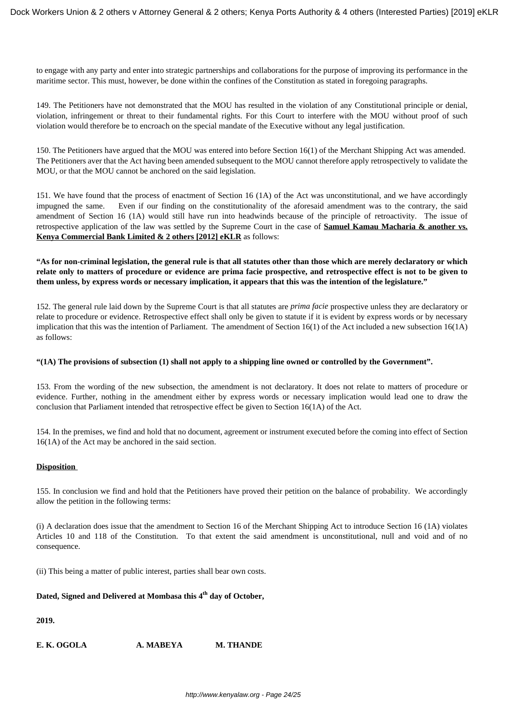to engage with any party and enter into strategic partnerships and collaborations for the purpose of improving its performance in the maritime sector. This must, however, be done within the confines of the Constitution as stated in foregoing paragraphs.

149. The Petitioners have not demonstrated that the MOU has resulted in the violation of any Constitutional principle or denial, violation, infringement or threat to their fundamental rights. For this Court to interfere with the MOU without proof of such violation would therefore be to encroach on the special mandate of the Executive without any legal justification.

150. The Petitioners have argued that the MOU was entered into before Section 16(1) of the Merchant Shipping Act was amended. The Petitioners aver that the Act having been amended subsequent to the MOU cannot therefore apply retrospectively to validate the MOU, or that the MOU cannot be anchored on the said legislation.

151. We have found that the process of enactment of Section 16 (1A) of the Act was unconstitutional, and we have accordingly impugned the same. Even if our finding on the constitutionality of the aforesaid amendment was to the contrary, the said amendment of Section 16 (1A) would still have run into headwinds because of the principle of retroactivity. The issue of retrospective application of the law was settled by the Supreme Court in the case of **Samuel Kamau Macharia & another vs. Kenya Commercial Bank Limited & 2 others [2012] eKLR** as follows:

### **"As for non-criminal legislation, the general rule is that all statutes other than those which are merely declaratory or which relate only to matters of procedure or evidence are prima facie prospective, and retrospective effect is not to be given to them unless, by express words or necessary implication, it appears that this was the intention of the legislature."**

152. The general rule laid down by the Supreme Court is that all statutes are *prima facie* prospective unless they are declaratory or relate to procedure or evidence. Retrospective effect shall only be given to statute if it is evident by express words or by necessary implication that this was the intention of Parliament. The amendment of Section 16(1) of the Act included a new subsection 16(1A) as follows:

### **"(1A) The provisions of subsection (1) shall not apply to a shipping line owned or controlled by the Government".**

153. From the wording of the new subsection, the amendment is not declaratory. It does not relate to matters of procedure or evidence. Further, nothing in the amendment either by express words or necessary implication would lead one to draw the conclusion that Parliament intended that retrospective effect be given to Section 16(1A) of the Act.

154. In the premises, we find and hold that no document, agreement or instrument executed before the coming into effect of Section 16(1A) of the Act may be anchored in the said section.

### **Disposition**

155. In conclusion we find and hold that the Petitioners have proved their petition on the balance of probability. We accordingly allow the petition in the following terms:

(i) A declaration does issue that the amendment to Section 16 of the Merchant Shipping Act to introduce Section 16 (1A) violates Articles 10 and 118 of the Constitution. To that extent the said amendment is unconstitutional, null and void and of no consequence.

(ii) This being a matter of public interest, parties shall bear own costs.

# **Dated, Signed and Delivered at Mombasa this 4th day of October,**

**2019.**

**E. K. OGOLA A. MABEYA M. THANDE**